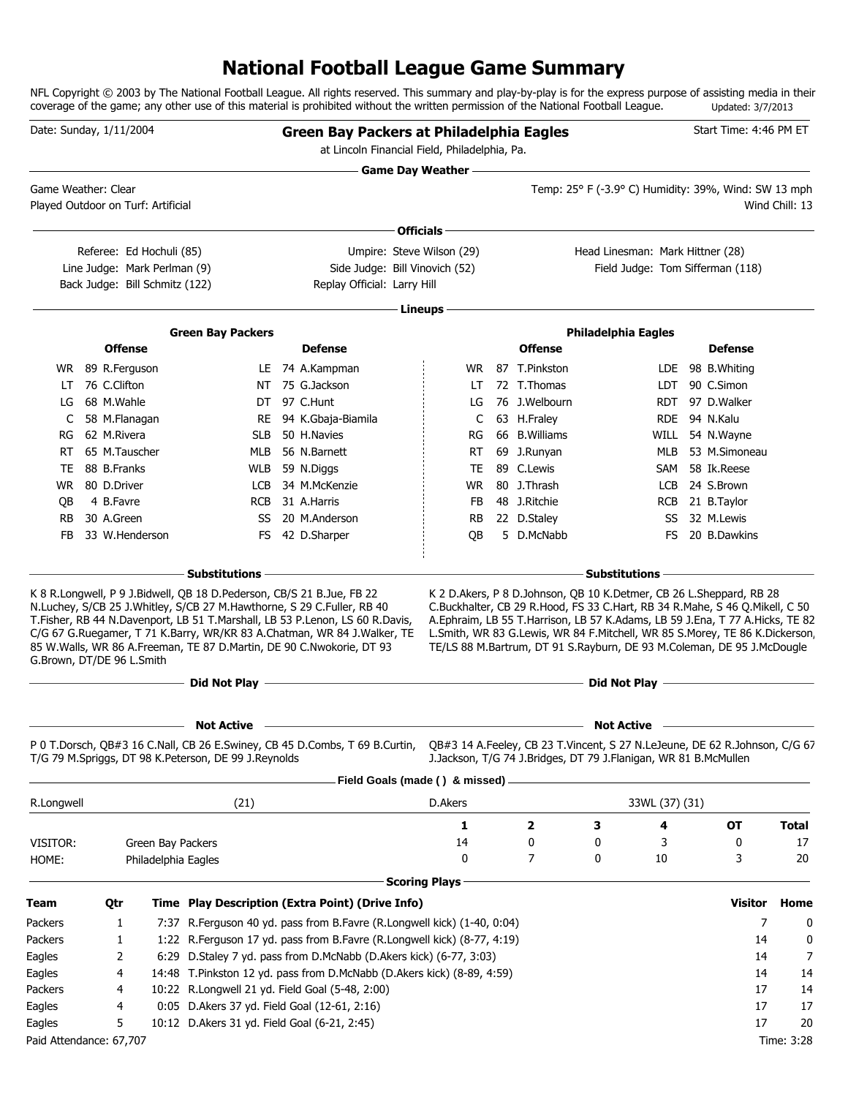### **National Football League Game Summary**

NFL Copyright © 2003 by The National Football League. All rights reserved. This summary and play-by-play is for the express purpose of assisting media in their coverage of the game; any other use of this material is prohibited without the written permission of the National Football League. Updated: 3/7/2013

| Game Day Weather -<br>Temp: 25° F (-3.9° C) Humidity: 39%, Wind: SW 13 mph<br>Game Weather: Clear<br>Played Outdoor on Turf: Artificial<br>Wind Chill: 13<br>Officials -<br>Umpire: Steve Wilson (29)<br>Head Linesman: Mark Hittner (28)<br>Referee: Ed Hochuli (85)<br>Line Judge: Mark Perlman (9)<br>Side Judge: Bill Vinovich (52)<br>Field Judge: Tom Sifferman (118)<br>Back Judge: Bill Schmitz (122)<br>Replay Official: Larry Hill<br>Lineups -<br><b>Green Bay Packers</b><br><b>Philadelphia Eagles</b><br><b>Offense</b><br><b>Offense</b><br><b>Defense</b><br><b>Defense</b><br>WR 89 R.Ferguson<br>LE 74 A.Kampman<br>87 T.Pinkston<br>LDE 98 B. Whiting<br>WR.<br>76 C.Clifton<br>NT 75 G.Jackson<br>72 T.Thomas<br>LDT 90 C.Simon<br>LT<br>LT<br>68 M.Wahle<br>DT 97 C.Hunt<br>76 J.Welbourn<br>97 D.Walker<br>LG<br>RDT<br>LG<br>58 M.Flanagan<br>63 H.Fraley<br>C<br>RE<br>94 K.Gbaja-Biamila<br>C<br>RDE.<br>94 N.Kalu<br>62 M.Rivera<br>50 H.Navies<br>66 B. Williams<br><b>SLB</b><br>WILL<br>54 N.Wayne<br>RG.<br>RG<br>65 M.Tauscher<br>69 J.Runyan<br>53 M.Simoneau<br>RT<br>MLB<br>56 N.Barnett<br>RT<br>MLB<br><b>TE</b><br>89 C.Lewis<br>58 Ik.Reese<br>TE<br>88 B.Franks<br><b>WLB</b><br>59 N.Diggs<br>SAM<br>80 D.Driver<br>34 M.McKenzie<br>80 J.Thrash<br>24 S.Brown<br>WR.<br>LCB<br>WR<br>LCB<br>48 J.Ritchie<br>RCB 21 B.Taylor<br>4 B.Favre<br><b>RCB</b><br>31 A.Harris<br>FB<br>QB<br>30 A.Green<br>20 M.Anderson<br>22 D.Staley<br>32 M.Lewis<br><b>RB</b><br>SS<br>RB<br>SS<br>33 W.Henderson<br>FS 42 D.Sharper<br>QB<br>5 D.McNabb<br>FB<br>FS<br>20 B.Dawkins<br><b>Substitutions</b><br><b>Substitutions</b><br>K 8 R.Longwell, P 9 J.Bidwell, QB 18 D.Pederson, CB/S 21 B.Jue, FB 22<br>K 2 D. Akers, P 8 D. Johnson, QB 10 K. Detmer, CB 26 L. Sheppard, RB 28<br>N.Luchey, S/CB 25 J.Whitley, S/CB 27 M.Hawthorne, S 29 C.Fuller, RB 40<br>C.Buckhalter, CB 29 R.Hood, FS 33 C.Hart, RB 34 R.Mahe, S 46 Q.Mikell, C 50<br>T.Fisher, RB 44 N.Davenport, LB 51 T.Marshall, LB 53 P.Lenon, LS 60 R.Davis,<br>A.Ephraim, LB 55 T.Harrison, LB 57 K.Adams, LB 59 J.Ena, T 77 A.Hicks, TE 82<br>L.Smith, WR 83 G.Lewis, WR 84 F.Mitchell, WR 85 S.Morey, TE 86 K.Dickerson,<br>C/G 67 G.Ruegamer, T 71 K.Barry, WR/KR 83 A.Chatman, WR 84 J.Walker, TE<br>85 W.Walls, WR 86 A.Freeman, TE 87 D.Martin, DE 90 C.Nwokorie, DT 93<br>TE/LS 88 M.Bartrum, DT 91 S.Rayburn, DE 93 M.Coleman, DE 95 J.McDougle<br>G.Brown, DT/DE 96 L.Smith<br><u> 1989 - Johann Barn, amerikansk politiker (d. 1989)</u><br><b>Not Active</b><br><b>Not Active</b><br>P 0 T.Dorsch, QB#3 16 C.Nall, CB 26 E.Swiney, CB 45 D.Combs, T 69 B.Curtin,<br>QB#3 14 A.Feeley, CB 23 T.Vincent, S 27 N.LeJeune, DE 62 R.Johnson, C/G 67<br>T/G 79 M.Spriggs, DT 98 K.Peterson, DE 99 J.Reynolds<br>J.Jackson, T/G 74 J.Bridges, DT 79 J.Flanigan, WR 81 B.McMullen<br>Field Goals (made () & missed) .<br>R.Longwell<br>(21)<br>D.Akers<br>33WL (37) (31)<br>3<br>1<br>2<br>OT<br><b>Total</b><br>4<br>14<br>0<br>3<br>0<br>0<br>17<br>VISITOR:<br>Green Bay Packers<br>$\mathbf 0$<br>10<br>7<br>0<br>3<br>20<br>HOME:<br>Philadelphia Eagles<br><b>Scoring Plays</b><br>Time Play Description (Extra Point) (Drive Info)<br>Visitor<br>Home<br>Qtr<br>7<br>7:37 R. Ferguson 40 yd. pass from B. Favre (R. Longwell kick) (1-40, 0:04)<br>Packers<br>1<br>0<br>1:22 R.Ferguson 17 yd. pass from B.Favre (R.Longwell kick) (8-77, 4:19)<br>14<br>Packers<br>1<br>0<br>6:29 D.Staley 7 yd. pass from D.McNabb (D.Akers kick) (6-77, 3:03)<br>7<br>2<br>Eagles<br>14<br>14:48 T.Pinkston 12 yd. pass from D.McNabb (D.Akers kick) (8-89, 4:59)<br>14<br>14<br>4<br>10:22 R.Longwell 21 yd. Field Goal (5-48, 2:00)<br>17<br>14<br>4<br>0:05 D.Akers 37 yd. Field Goal (12-61, 2:16)<br>17<br>17<br>Eagles<br>4<br>17<br>5<br>10:12 D. Akers 31 yd. Field Goal (6-21, 2:45)<br>20<br>Paid Attendance: 67,707<br>Time: 3:28 | Date: Sunday, 1/11/2004 |  |  |  |  | <b>Green Bay Packers at Philadelphia Eagles</b><br>at Lincoln Financial Field, Philadelphia, Pa. |  |  |  | Start Time: 4:46 PM ET |  |
|---------------------------------------------------------------------------------------------------------------------------------------------------------------------------------------------------------------------------------------------------------------------------------------------------------------------------------------------------------------------------------------------------------------------------------------------------------------------------------------------------------------------------------------------------------------------------------------------------------------------------------------------------------------------------------------------------------------------------------------------------------------------------------------------------------------------------------------------------------------------------------------------------------------------------------------------------------------------------------------------------------------------------------------------------------------------------------------------------------------------------------------------------------------------------------------------------------------------------------------------------------------------------------------------------------------------------------------------------------------------------------------------------------------------------------------------------------------------------------------------------------------------------------------------------------------------------------------------------------------------------------------------------------------------------------------------------------------------------------------------------------------------------------------------------------------------------------------------------------------------------------------------------------------------------------------------------------------------------------------------------------------------------------------------------------------------------------------------------------------------------------------------------------------------------------------------------------------------------------------------------------------------------------------------------------------------------------------------------------------------------------------------------------------------------------------------------------------------------------------------------------------------------------------------------------------------------------------------------------------------------------------------------------------------------------------------------------------------------------------------------------------------------------------------------------------------------------------------------------------------------------------------------------------------------------------------------------------------------------------------------------------------------------------------------------------------------------------------------------------------------------------------------------------------------------------------------------------------------------------------------------------------------------------------------------------------------------------------------------------------------------------------------------------------------------------------------------------------------------------------------------------------------------------------------------------------------------------------------------------------------------------------------------------------------------------------------------------------------------------------------------------------------------------------------------------------------------------------------------------------------------------------------------------------------------------|-------------------------|--|--|--|--|--------------------------------------------------------------------------------------------------|--|--|--|------------------------|--|
|                                                                                                                                                                                                                                                                                                                                                                                                                                                                                                                                                                                                                                                                                                                                                                                                                                                                                                                                                                                                                                                                                                                                                                                                                                                                                                                                                                                                                                                                                                                                                                                                                                                                                                                                                                                                                                                                                                                                                                                                                                                                                                                                                                                                                                                                                                                                                                                                                                                                                                                                                                                                                                                                                                                                                                                                                                                                                                                                                                                                                                                                                                                                                                                                                                                                                                                                                                                                                                                                                                                                                                                                                                                                                                                                                                                                                                                                                                                                       |                         |  |  |  |  |                                                                                                  |  |  |  |                        |  |
|                                                                                                                                                                                                                                                                                                                                                                                                                                                                                                                                                                                                                                                                                                                                                                                                                                                                                                                                                                                                                                                                                                                                                                                                                                                                                                                                                                                                                                                                                                                                                                                                                                                                                                                                                                                                                                                                                                                                                                                                                                                                                                                                                                                                                                                                                                                                                                                                                                                                                                                                                                                                                                                                                                                                                                                                                                                                                                                                                                                                                                                                                                                                                                                                                                                                                                                                                                                                                                                                                                                                                                                                                                                                                                                                                                                                                                                                                                                                       |                         |  |  |  |  |                                                                                                  |  |  |  |                        |  |
|                                                                                                                                                                                                                                                                                                                                                                                                                                                                                                                                                                                                                                                                                                                                                                                                                                                                                                                                                                                                                                                                                                                                                                                                                                                                                                                                                                                                                                                                                                                                                                                                                                                                                                                                                                                                                                                                                                                                                                                                                                                                                                                                                                                                                                                                                                                                                                                                                                                                                                                                                                                                                                                                                                                                                                                                                                                                                                                                                                                                                                                                                                                                                                                                                                                                                                                                                                                                                                                                                                                                                                                                                                                                                                                                                                                                                                                                                                                                       |                         |  |  |  |  |                                                                                                  |  |  |  |                        |  |
|                                                                                                                                                                                                                                                                                                                                                                                                                                                                                                                                                                                                                                                                                                                                                                                                                                                                                                                                                                                                                                                                                                                                                                                                                                                                                                                                                                                                                                                                                                                                                                                                                                                                                                                                                                                                                                                                                                                                                                                                                                                                                                                                                                                                                                                                                                                                                                                                                                                                                                                                                                                                                                                                                                                                                                                                                                                                                                                                                                                                                                                                                                                                                                                                                                                                                                                                                                                                                                                                                                                                                                                                                                                                                                                                                                                                                                                                                                                                       |                         |  |  |  |  |                                                                                                  |  |  |  |                        |  |
|                                                                                                                                                                                                                                                                                                                                                                                                                                                                                                                                                                                                                                                                                                                                                                                                                                                                                                                                                                                                                                                                                                                                                                                                                                                                                                                                                                                                                                                                                                                                                                                                                                                                                                                                                                                                                                                                                                                                                                                                                                                                                                                                                                                                                                                                                                                                                                                                                                                                                                                                                                                                                                                                                                                                                                                                                                                                                                                                                                                                                                                                                                                                                                                                                                                                                                                                                                                                                                                                                                                                                                                                                                                                                                                                                                                                                                                                                                                                       |                         |  |  |  |  |                                                                                                  |  |  |  |                        |  |
|                                                                                                                                                                                                                                                                                                                                                                                                                                                                                                                                                                                                                                                                                                                                                                                                                                                                                                                                                                                                                                                                                                                                                                                                                                                                                                                                                                                                                                                                                                                                                                                                                                                                                                                                                                                                                                                                                                                                                                                                                                                                                                                                                                                                                                                                                                                                                                                                                                                                                                                                                                                                                                                                                                                                                                                                                                                                                                                                                                                                                                                                                                                                                                                                                                                                                                                                                                                                                                                                                                                                                                                                                                                                                                                                                                                                                                                                                                                                       |                         |  |  |  |  |                                                                                                  |  |  |  |                        |  |
|                                                                                                                                                                                                                                                                                                                                                                                                                                                                                                                                                                                                                                                                                                                                                                                                                                                                                                                                                                                                                                                                                                                                                                                                                                                                                                                                                                                                                                                                                                                                                                                                                                                                                                                                                                                                                                                                                                                                                                                                                                                                                                                                                                                                                                                                                                                                                                                                                                                                                                                                                                                                                                                                                                                                                                                                                                                                                                                                                                                                                                                                                                                                                                                                                                                                                                                                                                                                                                                                                                                                                                                                                                                                                                                                                                                                                                                                                                                                       |                         |  |  |  |  |                                                                                                  |  |  |  |                        |  |
|                                                                                                                                                                                                                                                                                                                                                                                                                                                                                                                                                                                                                                                                                                                                                                                                                                                                                                                                                                                                                                                                                                                                                                                                                                                                                                                                                                                                                                                                                                                                                                                                                                                                                                                                                                                                                                                                                                                                                                                                                                                                                                                                                                                                                                                                                                                                                                                                                                                                                                                                                                                                                                                                                                                                                                                                                                                                                                                                                                                                                                                                                                                                                                                                                                                                                                                                                                                                                                                                                                                                                                                                                                                                                                                                                                                                                                                                                                                                       |                         |  |  |  |  |                                                                                                  |  |  |  |                        |  |
|                                                                                                                                                                                                                                                                                                                                                                                                                                                                                                                                                                                                                                                                                                                                                                                                                                                                                                                                                                                                                                                                                                                                                                                                                                                                                                                                                                                                                                                                                                                                                                                                                                                                                                                                                                                                                                                                                                                                                                                                                                                                                                                                                                                                                                                                                                                                                                                                                                                                                                                                                                                                                                                                                                                                                                                                                                                                                                                                                                                                                                                                                                                                                                                                                                                                                                                                                                                                                                                                                                                                                                                                                                                                                                                                                                                                                                                                                                                                       |                         |  |  |  |  |                                                                                                  |  |  |  |                        |  |
|                                                                                                                                                                                                                                                                                                                                                                                                                                                                                                                                                                                                                                                                                                                                                                                                                                                                                                                                                                                                                                                                                                                                                                                                                                                                                                                                                                                                                                                                                                                                                                                                                                                                                                                                                                                                                                                                                                                                                                                                                                                                                                                                                                                                                                                                                                                                                                                                                                                                                                                                                                                                                                                                                                                                                                                                                                                                                                                                                                                                                                                                                                                                                                                                                                                                                                                                                                                                                                                                                                                                                                                                                                                                                                                                                                                                                                                                                                                                       |                         |  |  |  |  |                                                                                                  |  |  |  |                        |  |
|                                                                                                                                                                                                                                                                                                                                                                                                                                                                                                                                                                                                                                                                                                                                                                                                                                                                                                                                                                                                                                                                                                                                                                                                                                                                                                                                                                                                                                                                                                                                                                                                                                                                                                                                                                                                                                                                                                                                                                                                                                                                                                                                                                                                                                                                                                                                                                                                                                                                                                                                                                                                                                                                                                                                                                                                                                                                                                                                                                                                                                                                                                                                                                                                                                                                                                                                                                                                                                                                                                                                                                                                                                                                                                                                                                                                                                                                                                                                       |                         |  |  |  |  |                                                                                                  |  |  |  |                        |  |
|                                                                                                                                                                                                                                                                                                                                                                                                                                                                                                                                                                                                                                                                                                                                                                                                                                                                                                                                                                                                                                                                                                                                                                                                                                                                                                                                                                                                                                                                                                                                                                                                                                                                                                                                                                                                                                                                                                                                                                                                                                                                                                                                                                                                                                                                                                                                                                                                                                                                                                                                                                                                                                                                                                                                                                                                                                                                                                                                                                                                                                                                                                                                                                                                                                                                                                                                                                                                                                                                                                                                                                                                                                                                                                                                                                                                                                                                                                                                       |                         |  |  |  |  |                                                                                                  |  |  |  |                        |  |
|                                                                                                                                                                                                                                                                                                                                                                                                                                                                                                                                                                                                                                                                                                                                                                                                                                                                                                                                                                                                                                                                                                                                                                                                                                                                                                                                                                                                                                                                                                                                                                                                                                                                                                                                                                                                                                                                                                                                                                                                                                                                                                                                                                                                                                                                                                                                                                                                                                                                                                                                                                                                                                                                                                                                                                                                                                                                                                                                                                                                                                                                                                                                                                                                                                                                                                                                                                                                                                                                                                                                                                                                                                                                                                                                                                                                                                                                                                                                       |                         |  |  |  |  |                                                                                                  |  |  |  |                        |  |
|                                                                                                                                                                                                                                                                                                                                                                                                                                                                                                                                                                                                                                                                                                                                                                                                                                                                                                                                                                                                                                                                                                                                                                                                                                                                                                                                                                                                                                                                                                                                                                                                                                                                                                                                                                                                                                                                                                                                                                                                                                                                                                                                                                                                                                                                                                                                                                                                                                                                                                                                                                                                                                                                                                                                                                                                                                                                                                                                                                                                                                                                                                                                                                                                                                                                                                                                                                                                                                                                                                                                                                                                                                                                                                                                                                                                                                                                                                                                       |                         |  |  |  |  |                                                                                                  |  |  |  |                        |  |
|                                                                                                                                                                                                                                                                                                                                                                                                                                                                                                                                                                                                                                                                                                                                                                                                                                                                                                                                                                                                                                                                                                                                                                                                                                                                                                                                                                                                                                                                                                                                                                                                                                                                                                                                                                                                                                                                                                                                                                                                                                                                                                                                                                                                                                                                                                                                                                                                                                                                                                                                                                                                                                                                                                                                                                                                                                                                                                                                                                                                                                                                                                                                                                                                                                                                                                                                                                                                                                                                                                                                                                                                                                                                                                                                                                                                                                                                                                                                       |                         |  |  |  |  |                                                                                                  |  |  |  |                        |  |
|                                                                                                                                                                                                                                                                                                                                                                                                                                                                                                                                                                                                                                                                                                                                                                                                                                                                                                                                                                                                                                                                                                                                                                                                                                                                                                                                                                                                                                                                                                                                                                                                                                                                                                                                                                                                                                                                                                                                                                                                                                                                                                                                                                                                                                                                                                                                                                                                                                                                                                                                                                                                                                                                                                                                                                                                                                                                                                                                                                                                                                                                                                                                                                                                                                                                                                                                                                                                                                                                                                                                                                                                                                                                                                                                                                                                                                                                                                                                       |                         |  |  |  |  |                                                                                                  |  |  |  |                        |  |
|                                                                                                                                                                                                                                                                                                                                                                                                                                                                                                                                                                                                                                                                                                                                                                                                                                                                                                                                                                                                                                                                                                                                                                                                                                                                                                                                                                                                                                                                                                                                                                                                                                                                                                                                                                                                                                                                                                                                                                                                                                                                                                                                                                                                                                                                                                                                                                                                                                                                                                                                                                                                                                                                                                                                                                                                                                                                                                                                                                                                                                                                                                                                                                                                                                                                                                                                                                                                                                                                                                                                                                                                                                                                                                                                                                                                                                                                                                                                       |                         |  |  |  |  |                                                                                                  |  |  |  |                        |  |
|                                                                                                                                                                                                                                                                                                                                                                                                                                                                                                                                                                                                                                                                                                                                                                                                                                                                                                                                                                                                                                                                                                                                                                                                                                                                                                                                                                                                                                                                                                                                                                                                                                                                                                                                                                                                                                                                                                                                                                                                                                                                                                                                                                                                                                                                                                                                                                                                                                                                                                                                                                                                                                                                                                                                                                                                                                                                                                                                                                                                                                                                                                                                                                                                                                                                                                                                                                                                                                                                                                                                                                                                                                                                                                                                                                                                                                                                                                                                       |                         |  |  |  |  |                                                                                                  |  |  |  |                        |  |
|                                                                                                                                                                                                                                                                                                                                                                                                                                                                                                                                                                                                                                                                                                                                                                                                                                                                                                                                                                                                                                                                                                                                                                                                                                                                                                                                                                                                                                                                                                                                                                                                                                                                                                                                                                                                                                                                                                                                                                                                                                                                                                                                                                                                                                                                                                                                                                                                                                                                                                                                                                                                                                                                                                                                                                                                                                                                                                                                                                                                                                                                                                                                                                                                                                                                                                                                                                                                                                                                                                                                                                                                                                                                                                                                                                                                                                                                                                                                       |                         |  |  |  |  |                                                                                                  |  |  |  |                        |  |
|                                                                                                                                                                                                                                                                                                                                                                                                                                                                                                                                                                                                                                                                                                                                                                                                                                                                                                                                                                                                                                                                                                                                                                                                                                                                                                                                                                                                                                                                                                                                                                                                                                                                                                                                                                                                                                                                                                                                                                                                                                                                                                                                                                                                                                                                                                                                                                                                                                                                                                                                                                                                                                                                                                                                                                                                                                                                                                                                                                                                                                                                                                                                                                                                                                                                                                                                                                                                                                                                                                                                                                                                                                                                                                                                                                                                                                                                                                                                       |                         |  |  |  |  |                                                                                                  |  |  |  |                        |  |
|                                                                                                                                                                                                                                                                                                                                                                                                                                                                                                                                                                                                                                                                                                                                                                                                                                                                                                                                                                                                                                                                                                                                                                                                                                                                                                                                                                                                                                                                                                                                                                                                                                                                                                                                                                                                                                                                                                                                                                                                                                                                                                                                                                                                                                                                                                                                                                                                                                                                                                                                                                                                                                                                                                                                                                                                                                                                                                                                                                                                                                                                                                                                                                                                                                                                                                                                                                                                                                                                                                                                                                                                                                                                                                                                                                                                                                                                                                                                       |                         |  |  |  |  |                                                                                                  |  |  |  |                        |  |
|                                                                                                                                                                                                                                                                                                                                                                                                                                                                                                                                                                                                                                                                                                                                                                                                                                                                                                                                                                                                                                                                                                                                                                                                                                                                                                                                                                                                                                                                                                                                                                                                                                                                                                                                                                                                                                                                                                                                                                                                                                                                                                                                                                                                                                                                                                                                                                                                                                                                                                                                                                                                                                                                                                                                                                                                                                                                                                                                                                                                                                                                                                                                                                                                                                                                                                                                                                                                                                                                                                                                                                                                                                                                                                                                                                                                                                                                                                                                       |                         |  |  |  |  |                                                                                                  |  |  |  |                        |  |
|                                                                                                                                                                                                                                                                                                                                                                                                                                                                                                                                                                                                                                                                                                                                                                                                                                                                                                                                                                                                                                                                                                                                                                                                                                                                                                                                                                                                                                                                                                                                                                                                                                                                                                                                                                                                                                                                                                                                                                                                                                                                                                                                                                                                                                                                                                                                                                                                                                                                                                                                                                                                                                                                                                                                                                                                                                                                                                                                                                                                                                                                                                                                                                                                                                                                                                                                                                                                                                                                                                                                                                                                                                                                                                                                                                                                                                                                                                                                       |                         |  |  |  |  |                                                                                                  |  |  |  |                        |  |
|                                                                                                                                                                                                                                                                                                                                                                                                                                                                                                                                                                                                                                                                                                                                                                                                                                                                                                                                                                                                                                                                                                                                                                                                                                                                                                                                                                                                                                                                                                                                                                                                                                                                                                                                                                                                                                                                                                                                                                                                                                                                                                                                                                                                                                                                                                                                                                                                                                                                                                                                                                                                                                                                                                                                                                                                                                                                                                                                                                                                                                                                                                                                                                                                                                                                                                                                                                                                                                                                                                                                                                                                                                                                                                                                                                                                                                                                                                                                       |                         |  |  |  |  |                                                                                                  |  |  |  |                        |  |
|                                                                                                                                                                                                                                                                                                                                                                                                                                                                                                                                                                                                                                                                                                                                                                                                                                                                                                                                                                                                                                                                                                                                                                                                                                                                                                                                                                                                                                                                                                                                                                                                                                                                                                                                                                                                                                                                                                                                                                                                                                                                                                                                                                                                                                                                                                                                                                                                                                                                                                                                                                                                                                                                                                                                                                                                                                                                                                                                                                                                                                                                                                                                                                                                                                                                                                                                                                                                                                                                                                                                                                                                                                                                                                                                                                                                                                                                                                                                       |                         |  |  |  |  |                                                                                                  |  |  |  |                        |  |
|                                                                                                                                                                                                                                                                                                                                                                                                                                                                                                                                                                                                                                                                                                                                                                                                                                                                                                                                                                                                                                                                                                                                                                                                                                                                                                                                                                                                                                                                                                                                                                                                                                                                                                                                                                                                                                                                                                                                                                                                                                                                                                                                                                                                                                                                                                                                                                                                                                                                                                                                                                                                                                                                                                                                                                                                                                                                                                                                                                                                                                                                                                                                                                                                                                                                                                                                                                                                                                                                                                                                                                                                                                                                                                                                                                                                                                                                                                                                       |                         |  |  |  |  |                                                                                                  |  |  |  |                        |  |
|                                                                                                                                                                                                                                                                                                                                                                                                                                                                                                                                                                                                                                                                                                                                                                                                                                                                                                                                                                                                                                                                                                                                                                                                                                                                                                                                                                                                                                                                                                                                                                                                                                                                                                                                                                                                                                                                                                                                                                                                                                                                                                                                                                                                                                                                                                                                                                                                                                                                                                                                                                                                                                                                                                                                                                                                                                                                                                                                                                                                                                                                                                                                                                                                                                                                                                                                                                                                                                                                                                                                                                                                                                                                                                                                                                                                                                                                                                                                       |                         |  |  |  |  |                                                                                                  |  |  |  |                        |  |
|                                                                                                                                                                                                                                                                                                                                                                                                                                                                                                                                                                                                                                                                                                                                                                                                                                                                                                                                                                                                                                                                                                                                                                                                                                                                                                                                                                                                                                                                                                                                                                                                                                                                                                                                                                                                                                                                                                                                                                                                                                                                                                                                                                                                                                                                                                                                                                                                                                                                                                                                                                                                                                                                                                                                                                                                                                                                                                                                                                                                                                                                                                                                                                                                                                                                                                                                                                                                                                                                                                                                                                                                                                                                                                                                                                                                                                                                                                                                       |                         |  |  |  |  |                                                                                                  |  |  |  |                        |  |
|                                                                                                                                                                                                                                                                                                                                                                                                                                                                                                                                                                                                                                                                                                                                                                                                                                                                                                                                                                                                                                                                                                                                                                                                                                                                                                                                                                                                                                                                                                                                                                                                                                                                                                                                                                                                                                                                                                                                                                                                                                                                                                                                                                                                                                                                                                                                                                                                                                                                                                                                                                                                                                                                                                                                                                                                                                                                                                                                                                                                                                                                                                                                                                                                                                                                                                                                                                                                                                                                                                                                                                                                                                                                                                                                                                                                                                                                                                                                       |                         |  |  |  |  |                                                                                                  |  |  |  |                        |  |
|                                                                                                                                                                                                                                                                                                                                                                                                                                                                                                                                                                                                                                                                                                                                                                                                                                                                                                                                                                                                                                                                                                                                                                                                                                                                                                                                                                                                                                                                                                                                                                                                                                                                                                                                                                                                                                                                                                                                                                                                                                                                                                                                                                                                                                                                                                                                                                                                                                                                                                                                                                                                                                                                                                                                                                                                                                                                                                                                                                                                                                                                                                                                                                                                                                                                                                                                                                                                                                                                                                                                                                                                                                                                                                                                                                                                                                                                                                                                       | <b>Team</b>             |  |  |  |  |                                                                                                  |  |  |  |                        |  |
|                                                                                                                                                                                                                                                                                                                                                                                                                                                                                                                                                                                                                                                                                                                                                                                                                                                                                                                                                                                                                                                                                                                                                                                                                                                                                                                                                                                                                                                                                                                                                                                                                                                                                                                                                                                                                                                                                                                                                                                                                                                                                                                                                                                                                                                                                                                                                                                                                                                                                                                                                                                                                                                                                                                                                                                                                                                                                                                                                                                                                                                                                                                                                                                                                                                                                                                                                                                                                                                                                                                                                                                                                                                                                                                                                                                                                                                                                                                                       |                         |  |  |  |  |                                                                                                  |  |  |  |                        |  |
|                                                                                                                                                                                                                                                                                                                                                                                                                                                                                                                                                                                                                                                                                                                                                                                                                                                                                                                                                                                                                                                                                                                                                                                                                                                                                                                                                                                                                                                                                                                                                                                                                                                                                                                                                                                                                                                                                                                                                                                                                                                                                                                                                                                                                                                                                                                                                                                                                                                                                                                                                                                                                                                                                                                                                                                                                                                                                                                                                                                                                                                                                                                                                                                                                                                                                                                                                                                                                                                                                                                                                                                                                                                                                                                                                                                                                                                                                                                                       |                         |  |  |  |  |                                                                                                  |  |  |  |                        |  |
|                                                                                                                                                                                                                                                                                                                                                                                                                                                                                                                                                                                                                                                                                                                                                                                                                                                                                                                                                                                                                                                                                                                                                                                                                                                                                                                                                                                                                                                                                                                                                                                                                                                                                                                                                                                                                                                                                                                                                                                                                                                                                                                                                                                                                                                                                                                                                                                                                                                                                                                                                                                                                                                                                                                                                                                                                                                                                                                                                                                                                                                                                                                                                                                                                                                                                                                                                                                                                                                                                                                                                                                                                                                                                                                                                                                                                                                                                                                                       |                         |  |  |  |  |                                                                                                  |  |  |  |                        |  |
|                                                                                                                                                                                                                                                                                                                                                                                                                                                                                                                                                                                                                                                                                                                                                                                                                                                                                                                                                                                                                                                                                                                                                                                                                                                                                                                                                                                                                                                                                                                                                                                                                                                                                                                                                                                                                                                                                                                                                                                                                                                                                                                                                                                                                                                                                                                                                                                                                                                                                                                                                                                                                                                                                                                                                                                                                                                                                                                                                                                                                                                                                                                                                                                                                                                                                                                                                                                                                                                                                                                                                                                                                                                                                                                                                                                                                                                                                                                                       | Eagles                  |  |  |  |  |                                                                                                  |  |  |  |                        |  |
|                                                                                                                                                                                                                                                                                                                                                                                                                                                                                                                                                                                                                                                                                                                                                                                                                                                                                                                                                                                                                                                                                                                                                                                                                                                                                                                                                                                                                                                                                                                                                                                                                                                                                                                                                                                                                                                                                                                                                                                                                                                                                                                                                                                                                                                                                                                                                                                                                                                                                                                                                                                                                                                                                                                                                                                                                                                                                                                                                                                                                                                                                                                                                                                                                                                                                                                                                                                                                                                                                                                                                                                                                                                                                                                                                                                                                                                                                                                                       | Packers                 |  |  |  |  |                                                                                                  |  |  |  |                        |  |
|                                                                                                                                                                                                                                                                                                                                                                                                                                                                                                                                                                                                                                                                                                                                                                                                                                                                                                                                                                                                                                                                                                                                                                                                                                                                                                                                                                                                                                                                                                                                                                                                                                                                                                                                                                                                                                                                                                                                                                                                                                                                                                                                                                                                                                                                                                                                                                                                                                                                                                                                                                                                                                                                                                                                                                                                                                                                                                                                                                                                                                                                                                                                                                                                                                                                                                                                                                                                                                                                                                                                                                                                                                                                                                                                                                                                                                                                                                                                       |                         |  |  |  |  |                                                                                                  |  |  |  |                        |  |
|                                                                                                                                                                                                                                                                                                                                                                                                                                                                                                                                                                                                                                                                                                                                                                                                                                                                                                                                                                                                                                                                                                                                                                                                                                                                                                                                                                                                                                                                                                                                                                                                                                                                                                                                                                                                                                                                                                                                                                                                                                                                                                                                                                                                                                                                                                                                                                                                                                                                                                                                                                                                                                                                                                                                                                                                                                                                                                                                                                                                                                                                                                                                                                                                                                                                                                                                                                                                                                                                                                                                                                                                                                                                                                                                                                                                                                                                                                                                       | Eagles                  |  |  |  |  |                                                                                                  |  |  |  |                        |  |
|                                                                                                                                                                                                                                                                                                                                                                                                                                                                                                                                                                                                                                                                                                                                                                                                                                                                                                                                                                                                                                                                                                                                                                                                                                                                                                                                                                                                                                                                                                                                                                                                                                                                                                                                                                                                                                                                                                                                                                                                                                                                                                                                                                                                                                                                                                                                                                                                                                                                                                                                                                                                                                                                                                                                                                                                                                                                                                                                                                                                                                                                                                                                                                                                                                                                                                                                                                                                                                                                                                                                                                                                                                                                                                                                                                                                                                                                                                                                       |                         |  |  |  |  |                                                                                                  |  |  |  |                        |  |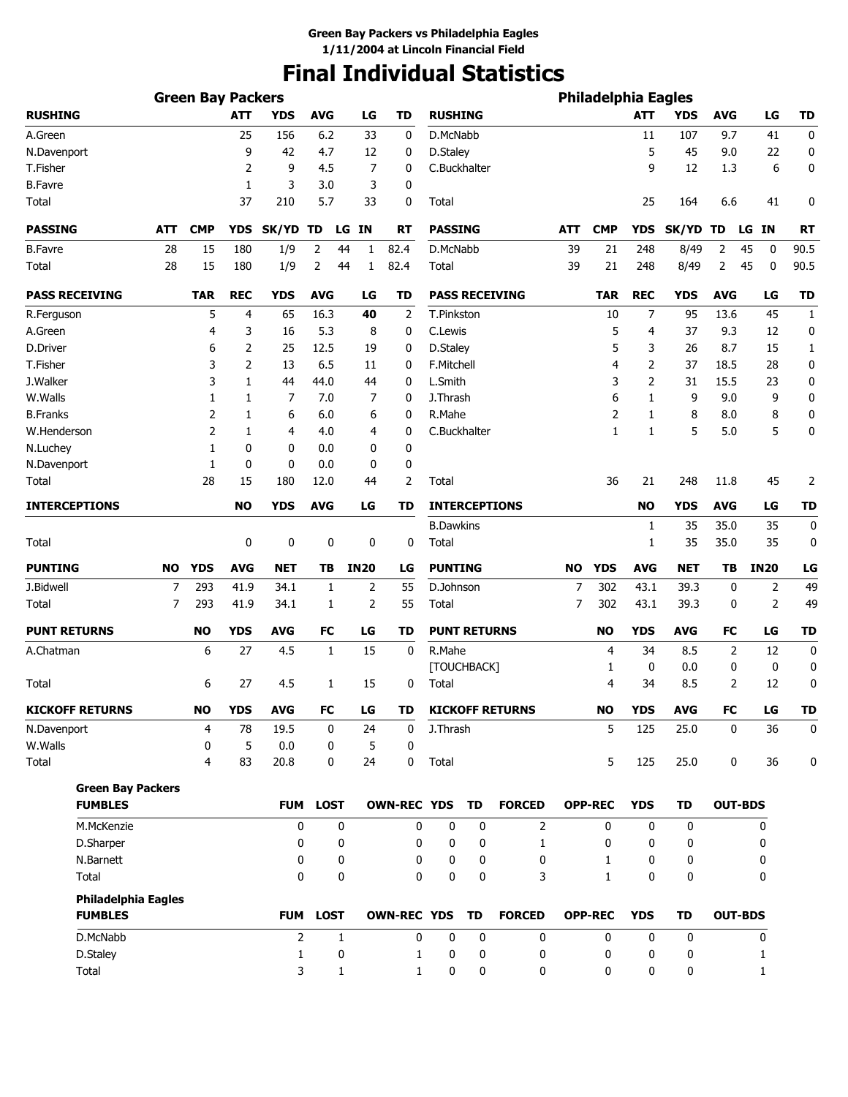# **Final Individual Statistics**

|                        |                            | <b>Green Bay Packers</b> |            |                |             |             |                    |                      |             |                        |            | <b>Philadelphia Eagles</b> |              |             |                |                |                  |
|------------------------|----------------------------|--------------------------|------------|----------------|-------------|-------------|--------------------|----------------------|-------------|------------------------|------------|----------------------------|--------------|-------------|----------------|----------------|------------------|
| <b>RUSHING</b>         |                            |                          | <b>ATT</b> | <b>YDS</b>     | <b>AVG</b>  | LG          | <b>TD</b>          | <b>RUSHING</b>       |             |                        |            |                            | <b>ATT</b>   | <b>YDS</b>  | <b>AVG</b>     | LG             | <b>TD</b>        |
| A.Green                |                            |                          | 25         | 156            | 6.2         | 33          | 0                  | D.McNabb             |             |                        |            |                            | 11           | 107         | 9.7            | 41             | 0                |
| N.Davenport            |                            |                          | 9          | 42             | 4.7         | 12          | 0                  | D.Staley             |             |                        |            |                            | 5            | 45          | 9.0            | 22             | 0                |
| T.Fisher               |                            |                          | 2          | 9              | 4.5         | 7           | 0                  | C.Buckhalter         |             |                        |            |                            | 9            | 12          | 1.3            | 6              | 0                |
| <b>B.Favre</b>         |                            |                          | 1          | 3              | 3.0         | 3           | 0                  |                      |             |                        |            |                            |              |             |                |                |                  |
| Total                  |                            |                          | 37         | 210            | 5.7         | 33          | 0                  | Total                |             |                        |            |                            | 25           | 164         | 6.6            | 41             | 0                |
| <b>PASSING</b>         | <b>ATT</b>                 | <b>CMP</b>               | <b>YDS</b> | SK/YD          | TD          | LG IN       | RT                 | <b>PASSING</b>       |             |                        | <b>ATT</b> | <b>CMP</b>                 | <b>YDS</b>   | SK/YD TD    |                | LG IN          | RT               |
| <b>B.Favre</b>         | 28                         | 15                       | 180        | 1/9            | 2<br>44     | 1           | 82.4               | D.McNabb             |             |                        | 39         | 21                         | 248          | 8/49        | 2              | 45<br>0        | 90.5             |
| Total                  | 28                         | 15                       | 180        | 1/9            | 2<br>44     | 1           | 82.4               | <b>Total</b>         |             |                        | 39         | 21                         | 248          | 8/49        | 2              | 45<br>0        | 90.5             |
| <b>PASS RECEIVING</b>  |                            | <b>TAR</b>               | <b>REC</b> | <b>YDS</b>     | <b>AVG</b>  | LG          | TD                 |                      |             | <b>PASS RECEIVING</b>  |            | <b>TAR</b>                 | <b>REC</b>   | <b>YDS</b>  | <b>AVG</b>     | LG             | <b>TD</b>        |
| R.Ferguson             |                            | 5                        | 4          | 65             | 16.3        | 40          | 2                  | T.Pinkston           |             |                        |            | 10                         | 7            | 95          | 13.6           | 45             | 1                |
| A.Green                |                            | 4                        | 3          | 16             | 5.3         | 8           | 0                  | C.Lewis              |             |                        |            | 5                          | 4            | 37          | 9.3            | 12             | 0                |
| D.Driver               |                            | 6                        | 2          | 25             | 12.5        | 19          | 0                  | D.Staley             |             |                        |            | 5                          | 3            | 26          | 8.7            | 15             | 1                |
| T.Fisher               |                            | 3                        | 2          | 13             | 6.5         | 11          | 0                  | F.Mitchell           |             |                        |            | 4                          | 2            | 37          | 18.5           | 28             | 0                |
| J.Walker               |                            | 3                        | 1          | 44             | 44.0        | 44          | 0                  | L.Smith              |             |                        |            | 3                          | 2            | 31          | 15.5           | 23             | 0                |
| W.Walls                |                            | 1                        | 1          | 7              | 7.0         | 7           | 0                  | J.Thrash             |             |                        |            | 6                          | 1            | 9           | 9.0            | 9              | $\mathbf 0$      |
| <b>B.Franks</b>        |                            | 2                        | 1          | 6              | 6.0         | 6           | 0                  | R.Mahe               |             |                        |            | 2                          | 1            | 8           | 8.0            | 8              | 0                |
| W.Henderson            |                            | 2                        | 1          | 4              | 4.0         | 4           | 0                  | C.Buckhalter         |             |                        |            | 1                          | 1            | 5           | 5.0            | 5              | 0                |
| N.Luchey               |                            | 1                        | 0          | 0              | 0.0         | 0           | 0                  |                      |             |                        |            |                            |              |             |                |                |                  |
| N.Davenport            |                            | 1                        | 0          | 0              | 0.0         | 0           | 0                  |                      |             |                        |            |                            |              |             |                |                |                  |
| Total                  |                            | 28                       | 15         | 180            | 12.0        | 44          | 2                  | Total                |             |                        |            | 36                         | 21           | 248         | 11.8           | 45             | 2                |
| <b>INTERCEPTIONS</b>   |                            |                          | <b>NO</b>  | <b>YDS</b>     | <b>AVG</b>  | LG          | TD                 |                      |             | <b>INTERCEPTIONS</b>   |            |                            | <b>NO</b>    | <b>YDS</b>  | <b>AVG</b>     | LG             | <b>TD</b>        |
|                        |                            |                          |            |                |             |             |                    | <b>B.Dawkins</b>     |             |                        |            |                            | 1            | 35          | 35.0           | 35             | $\boldsymbol{0}$ |
| <b>Total</b>           |                            |                          | 0          | 0              | 0           | 0           | 0                  | Total                |             |                        |            |                            | 1            | 35          | 35.0           | 35             | 0                |
| <b>PUNTING</b>         | NO                         | <b>YDS</b>               | <b>AVG</b> | <b>NET</b>     | TВ          | <b>IN20</b> | LG                 | <b>PUNTING</b>       |             |                        | <b>NO</b>  | <b>YDS</b>                 | <b>AVG</b>   | NET         | TB             | <b>IN20</b>    | LG               |
| J.Bidwell              | 7                          | 293                      | 41.9       | 34.1           | 1           | 2           | 55                 | D.Johnson            |             |                        | 7          | 302                        | 43.1         | 39.3        | 0              | 2              | 49               |
| <b>Total</b>           | 7                          | 293                      | 41.9       | 34.1           | 1           | 2           | 55                 | Total                |             |                        | 7          | 302                        | 43.1         | 39.3        | 0              | $\overline{2}$ | 49               |
| <b>PUNT RETURNS</b>    |                            | <b>NO</b>                | <b>YDS</b> | <b>AVG</b>     | FC          | LG          | TD                 | <b>PUNT RETURNS</b>  |             |                        |            | <b>NO</b>                  | <b>YDS</b>   | <b>AVG</b>  | FC             | LG             | <b>TD</b>        |
| A.Chatman              |                            | 6                        | 27         | 4.5            | 1           | 15          | 0                  | R.Mahe               |             |                        |            | 4                          | 34           | 8.5         | 2              | 12             | 0                |
| Total                  |                            | 6                        | 27         | 4.5            | 1           | 15          | 0                  | [TOUCHBACK]<br>Total |             |                        |            | 1<br>4                     | 0<br>34      | 0.0<br>8.5  | 0<br>2         | 0<br>12        | 0<br>0           |
|                        |                            |                          |            |                |             |             |                    |                      |             |                        |            |                            |              |             |                |                |                  |
| <b>KICKOFF RETURNS</b> |                            | <b>NO</b>                | <b>YDS</b> | <b>AVG</b>     | FC          | LG          | TD                 |                      |             | <b>KICKOFF RETURNS</b> |            | <b>NO</b>                  | <b>YDS</b>   | <b>AVG</b>  | <b>FC</b>      | LG             | TD               |
| N.Davenport            |                            | 4                        | 78         | 19.5           | 0           | 24          | 0                  | J.Thrash             |             |                        |            | 5                          | 125          | 25.0        | 0              | 36             | 0                |
| W.Walls<br>Total       |                            | 0<br>4                   | 5<br>83    | 0.0<br>20.8    | 0<br>0      | 5<br>24     | 0<br>0             | Total                |             |                        |            | 5                          | 125          | 25.0        | 0              | 36             | $\mathbf 0$      |
|                        | <b>Green Bay Packers</b>   |                          |            |                |             |             |                    |                      |             |                        |            |                            |              |             |                |                |                  |
| <b>FUMBLES</b>         |                            |                          |            | <b>FUM</b>     | <b>LOST</b> |             | <b>OWN-REC YDS</b> |                      | TD          | <b>FORCED</b>          |            | <b>OPP-REC</b>             | <b>YDS</b>   | TD          | <b>OUT-BDS</b> |                |                  |
| M.McKenzie             |                            |                          |            | $\mathbf 0$    | $\mathbf 0$ |             | 0                  | $\mathbf 0$          | $\mathbf 0$ | $\overline{2}$         |            | $\mathbf{0}$               | $\mathbf{0}$ | $\mathbf 0$ |                | 0              |                  |
| D.Sharper              |                            |                          |            | 0              | 0           |             | 0                  | 0                    | 0           | $\mathbf{1}$           |            | 0                          | 0            | 0           |                | 0              |                  |
| N.Barnett              |                            |                          |            | 0              | 0           |             | 0                  | 0                    | 0           | 0                      |            | 1                          | 0            | 0           |                | 0              |                  |
| Total                  |                            |                          |            | 0              | 0           |             | 0                  | 0                    | 0           | 3                      |            | $\mathbf{1}$               | 0            | 0           |                | 0              |                  |
|                        | <b>Philadelphia Eagles</b> |                          |            |                |             |             |                    |                      |             |                        |            |                            |              |             |                |                |                  |
| <b>FUMBLES</b>         |                            |                          |            |                | FUM LOST    |             | <b>OWN-REC YDS</b> |                      | TD          | <b>FORCED</b>          |            | <b>OPP-REC</b>             | <b>YDS</b>   | TD          | <b>OUT-BDS</b> |                |                  |
| D.McNabb               |                            |                          |            | $\overline{2}$ | 1           |             | 0                  | $\mathbf 0$          | $\mathbf 0$ | 0                      |            | 0                          | 0            | $\mathbf 0$ |                | 0              |                  |
| D.Staley               |                            |                          |            | 1              | 0           |             | 1                  | 0                    | 0           | 0                      |            | 0                          | 0            | 0           |                | 1              |                  |
| Total                  |                            |                          |            | 3              | 1           |             | 1                  | 0                    | 0           | 0                      |            | 0                          | 0            | 0           |                | 1              |                  |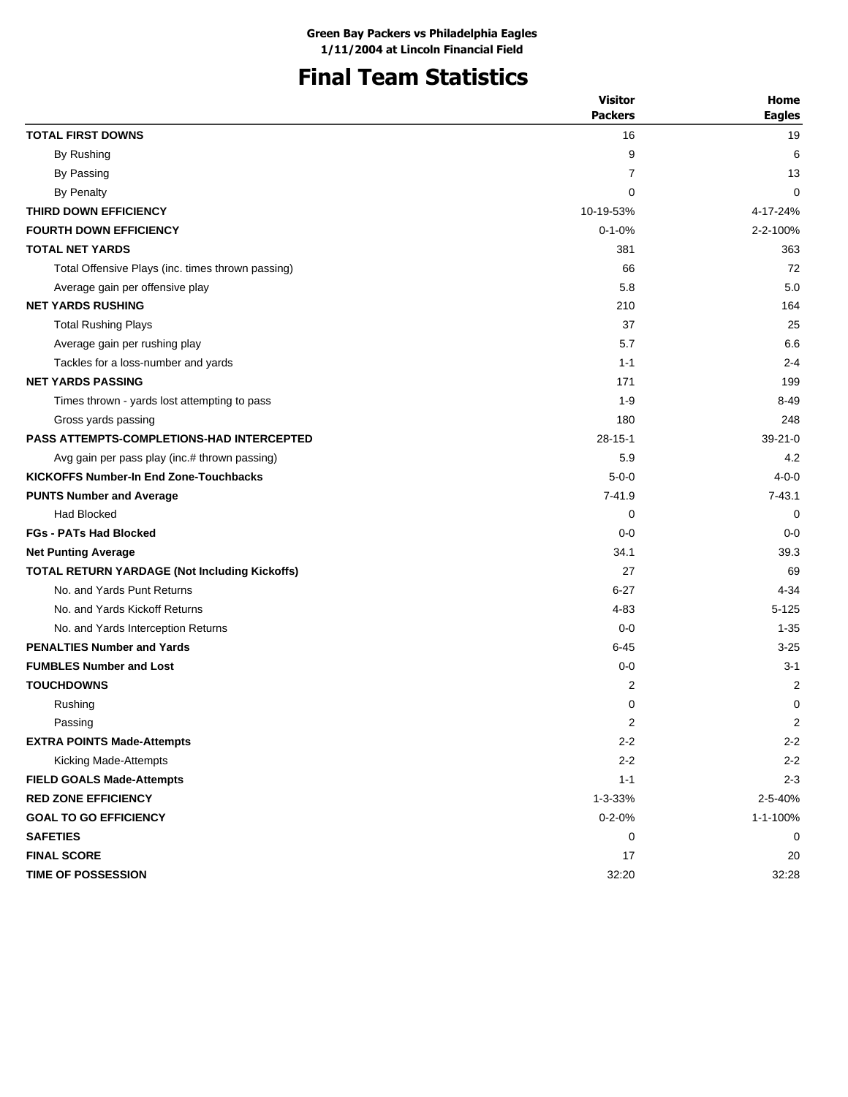### **Final Team Statistics**

| <b>Packers</b><br><b>TOTAL FIRST DOWNS</b><br>16<br>By Rushing<br>9<br>By Passing<br>7<br>By Penalty<br>0<br>THIRD DOWN EFFICIENCY<br>10-19-53%<br><b>FOURTH DOWN EFFICIENCY</b><br>$0 - 1 - 0%$<br><b>TOTAL NET YARDS</b><br>381<br>66<br>Total Offensive Plays (inc. times thrown passing)<br>5.8<br>Average gain per offensive play<br><b>NET YARDS RUSHING</b><br>210<br><b>Total Rushing Plays</b><br>37<br>5.7<br>Average gain per rushing play<br>Tackles for a loss-number and yards<br>$1 - 1$<br><b>NET YARDS PASSING</b><br>171<br>$1 - 9$<br>Times thrown - yards lost attempting to pass<br>180<br>Gross yards passing<br><b>PASS ATTEMPTS-COMPLETIONS-HAD INTERCEPTED</b><br>$28 - 15 - 1$<br>Avg gain per pass play (inc.# thrown passing)<br>5.9<br><b>KICKOFFS Number-In End Zone-Touchbacks</b><br>$5 - 0 - 0$<br>$7 - 41.9$<br><b>PUNTS Number and Average</b> | <b>Visitor</b> | Home          |
|-----------------------------------------------------------------------------------------------------------------------------------------------------------------------------------------------------------------------------------------------------------------------------------------------------------------------------------------------------------------------------------------------------------------------------------------------------------------------------------------------------------------------------------------------------------------------------------------------------------------------------------------------------------------------------------------------------------------------------------------------------------------------------------------------------------------------------------------------------------------------------------|----------------|---------------|
|                                                                                                                                                                                                                                                                                                                                                                                                                                                                                                                                                                                                                                                                                                                                                                                                                                                                                   |                | <b>Eagles</b> |
|                                                                                                                                                                                                                                                                                                                                                                                                                                                                                                                                                                                                                                                                                                                                                                                                                                                                                   |                | 19            |
|                                                                                                                                                                                                                                                                                                                                                                                                                                                                                                                                                                                                                                                                                                                                                                                                                                                                                   |                | 6             |
|                                                                                                                                                                                                                                                                                                                                                                                                                                                                                                                                                                                                                                                                                                                                                                                                                                                                                   |                | 13            |
|                                                                                                                                                                                                                                                                                                                                                                                                                                                                                                                                                                                                                                                                                                                                                                                                                                                                                   |                | 0             |
|                                                                                                                                                                                                                                                                                                                                                                                                                                                                                                                                                                                                                                                                                                                                                                                                                                                                                   |                | 4-17-24%      |
|                                                                                                                                                                                                                                                                                                                                                                                                                                                                                                                                                                                                                                                                                                                                                                                                                                                                                   |                | 2-2-100%      |
|                                                                                                                                                                                                                                                                                                                                                                                                                                                                                                                                                                                                                                                                                                                                                                                                                                                                                   |                | 363           |
|                                                                                                                                                                                                                                                                                                                                                                                                                                                                                                                                                                                                                                                                                                                                                                                                                                                                                   |                | 72            |
|                                                                                                                                                                                                                                                                                                                                                                                                                                                                                                                                                                                                                                                                                                                                                                                                                                                                                   |                | 5.0           |
|                                                                                                                                                                                                                                                                                                                                                                                                                                                                                                                                                                                                                                                                                                                                                                                                                                                                                   |                | 164           |
|                                                                                                                                                                                                                                                                                                                                                                                                                                                                                                                                                                                                                                                                                                                                                                                                                                                                                   |                | 25            |
|                                                                                                                                                                                                                                                                                                                                                                                                                                                                                                                                                                                                                                                                                                                                                                                                                                                                                   |                | 6.6           |
|                                                                                                                                                                                                                                                                                                                                                                                                                                                                                                                                                                                                                                                                                                                                                                                                                                                                                   |                | $2 - 4$       |
|                                                                                                                                                                                                                                                                                                                                                                                                                                                                                                                                                                                                                                                                                                                                                                                                                                                                                   |                | 199           |
|                                                                                                                                                                                                                                                                                                                                                                                                                                                                                                                                                                                                                                                                                                                                                                                                                                                                                   |                | $8 - 49$      |
|                                                                                                                                                                                                                                                                                                                                                                                                                                                                                                                                                                                                                                                                                                                                                                                                                                                                                   |                | 248           |
|                                                                                                                                                                                                                                                                                                                                                                                                                                                                                                                                                                                                                                                                                                                                                                                                                                                                                   |                | $39 - 21 - 0$ |
|                                                                                                                                                                                                                                                                                                                                                                                                                                                                                                                                                                                                                                                                                                                                                                                                                                                                                   |                | 4.2           |
|                                                                                                                                                                                                                                                                                                                                                                                                                                                                                                                                                                                                                                                                                                                                                                                                                                                                                   |                | $4 - 0 - 0$   |
|                                                                                                                                                                                                                                                                                                                                                                                                                                                                                                                                                                                                                                                                                                                                                                                                                                                                                   |                | $7 - 43.1$    |
| <b>Had Blocked</b><br>0                                                                                                                                                                                                                                                                                                                                                                                                                                                                                                                                                                                                                                                                                                                                                                                                                                                           |                | 0             |
| <b>FGs - PATs Had Blocked</b><br>$0 - 0$                                                                                                                                                                                                                                                                                                                                                                                                                                                                                                                                                                                                                                                                                                                                                                                                                                          |                | $0 - 0$       |
| 34.1<br><b>Net Punting Average</b>                                                                                                                                                                                                                                                                                                                                                                                                                                                                                                                                                                                                                                                                                                                                                                                                                                                |                | 39.3          |
| <b>TOTAL RETURN YARDAGE (Not Including Kickoffs)</b><br>27                                                                                                                                                                                                                                                                                                                                                                                                                                                                                                                                                                                                                                                                                                                                                                                                                        |                | 69            |
| No. and Yards Punt Returns<br>$6 - 27$                                                                                                                                                                                                                                                                                                                                                                                                                                                                                                                                                                                                                                                                                                                                                                                                                                            |                | $4 - 34$      |
| No. and Yards Kickoff Returns<br>$4 - 83$                                                                                                                                                                                                                                                                                                                                                                                                                                                                                                                                                                                                                                                                                                                                                                                                                                         |                | $5 - 125$     |
| No. and Yards Interception Returns<br>$0 - 0$                                                                                                                                                                                                                                                                                                                                                                                                                                                                                                                                                                                                                                                                                                                                                                                                                                     |                | $1 - 35$      |
| <b>PENALTIES Number and Yards</b><br>$6 - 45$                                                                                                                                                                                                                                                                                                                                                                                                                                                                                                                                                                                                                                                                                                                                                                                                                                     |                | $3 - 25$      |
| <b>FUMBLES Number and Lost</b><br>$0 - 0$                                                                                                                                                                                                                                                                                                                                                                                                                                                                                                                                                                                                                                                                                                                                                                                                                                         |                | $3 - 1$       |
| <b>TOUCHDOWNS</b><br>2                                                                                                                                                                                                                                                                                                                                                                                                                                                                                                                                                                                                                                                                                                                                                                                                                                                            |                | 2             |
| Rushing<br>0                                                                                                                                                                                                                                                                                                                                                                                                                                                                                                                                                                                                                                                                                                                                                                                                                                                                      |                | 0             |
| 2<br>Passing                                                                                                                                                                                                                                                                                                                                                                                                                                                                                                                                                                                                                                                                                                                                                                                                                                                                      |                | 2             |
| <b>EXTRA POINTS Made-Attempts</b><br>$2 - 2$                                                                                                                                                                                                                                                                                                                                                                                                                                                                                                                                                                                                                                                                                                                                                                                                                                      |                | $2 - 2$       |
| Kicking Made-Attempts<br>$2 - 2$                                                                                                                                                                                                                                                                                                                                                                                                                                                                                                                                                                                                                                                                                                                                                                                                                                                  |                | $2 - 2$       |
| <b>FIELD GOALS Made-Attempts</b><br>$1 - 1$                                                                                                                                                                                                                                                                                                                                                                                                                                                                                                                                                                                                                                                                                                                                                                                                                                       |                | $2 - 3$       |
| <b>RED ZONE EFFICIENCY</b><br>$1 - 3 - 33%$                                                                                                                                                                                                                                                                                                                                                                                                                                                                                                                                                                                                                                                                                                                                                                                                                                       |                | 2-5-40%       |
| <b>GOAL TO GO EFFICIENCY</b><br>$0 - 2 - 0%$                                                                                                                                                                                                                                                                                                                                                                                                                                                                                                                                                                                                                                                                                                                                                                                                                                      |                | 1-1-100%      |
| <b>SAFETIES</b><br>0                                                                                                                                                                                                                                                                                                                                                                                                                                                                                                                                                                                                                                                                                                                                                                                                                                                              |                | 0             |
| <b>FINAL SCORE</b><br>17                                                                                                                                                                                                                                                                                                                                                                                                                                                                                                                                                                                                                                                                                                                                                                                                                                                          |                | 20            |
| TIME OF POSSESSION<br>32:20                                                                                                                                                                                                                                                                                                                                                                                                                                                                                                                                                                                                                                                                                                                                                                                                                                                       |                | 32:28         |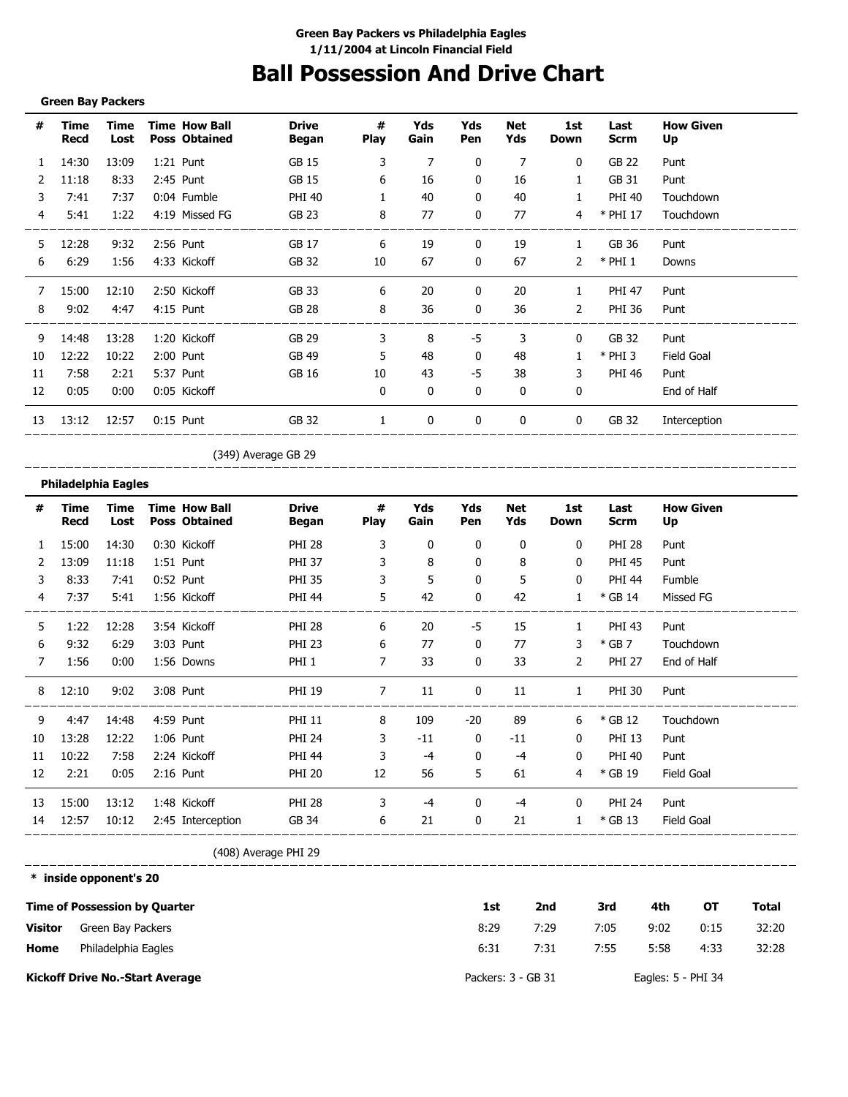# **Ball Possession And Drive Chart**

#### **Green Bay Packers**

| #  | Time<br>Recd | Time<br>Lost | <b>Time How Ball</b><br><b>Poss Obtained</b> | <b>Drive</b><br><b>Began</b> | #<br><b>Play</b> | Yds<br>Gain  | Yds<br>Pen | <b>Net</b><br>Yds | 1st<br>Down  | Last<br><b>Scrm</b> | <b>How Given</b><br>Up |
|----|--------------|--------------|----------------------------------------------|------------------------------|------------------|--------------|------------|-------------------|--------------|---------------------|------------------------|
| 1  | 14:30        | 13:09        | 1:21 Punt                                    | GB 15                        | 3                | 7            | 0          | 7                 | 0            | GB 22               | Punt                   |
| 2  | 11:18        | 8:33         | 2:45 Punt                                    | <b>GB 15</b>                 | 6                | 16           | 0          | 16                | 1            | GB 31               | Punt                   |
| 3  | 7:41         | 7:37         | 0:04 Fumble                                  | <b>PHI 40</b>                |                  | 40           | 0          | 40                | 1            | <b>PHI 40</b>       | Touchdown              |
| 4  | 5:41         | 1:22         | 4:19 Missed FG                               | <b>GB 23</b>                 | 8                | 77           | 0          | 77                | 4            | * PHI 17            | Touchdown              |
| 5  | 12:28        | 9:32         | 2:56 Punt                                    | GB 17                        | 6                | 19           | 0          | 19                | 1            | GB 36               | Punt                   |
| 6  | 6:29         | 1:56         | 4:33 Kickoff                                 | GB 32                        | 10               | 67           | 0          | 67                | 2            | $*$ PHI 1           | Downs                  |
| 7  | 15:00        | 12:10        | 2:50 Kickoff                                 | GB 33                        | 6                | 20           | 0          | 20                | 1            | <b>PHI 47</b>       | Punt                   |
| 8  | 9:02         | 4:47         | 4:15 Punt                                    | GB 28                        | 8                | 36           | 0          | 36                | 2            | <b>PHI 36</b>       | Punt                   |
| 9  | 14:48        | 13:28        | 1:20 Kickoff                                 | GB 29                        | 3                | 8            | -5         | 3                 | $\mathbf{0}$ | GB 32               | Punt                   |
| 10 | 12:22        | 10:22        | $2:00$ Punt                                  | GB 49                        | 5                | 48           | 0          | 48                |              | $*$ PHI 3           | Field Goal             |
| 11 | 7:58         | 2:21         | 5:37 Punt                                    | GB 16                        | 10               | 43           | -5         | 38                | 3            | <b>PHI 46</b>       | Punt                   |
| 12 | 0:05         | 0:00         | 0:05 Kickoff                                 |                              | $\mathbf{0}$     | $\mathbf{0}$ | 0          | 0                 | 0            |                     | End of Half            |
| 13 | 13:12        | 12:57        | $0:15$ Punt                                  | GB 32                        | 1                | 0            | 0          | 0                 | $\mathbf 0$  | GB 32               | Interception           |

(349) Average GB 29

#### **Philadelphia Eagles**

\_\_\_\_\_\_\_\_\_

| #            | Time<br>Recd | Time<br>Lost | <b>Time How Ball</b><br><b>Poss Obtained</b> | <b>Drive</b><br>Began | #<br><b>Play</b> | Yds<br>Gain | Yds<br>Pen | Net<br>Yds | 1st<br>Down  | Last<br><b>Scrm</b> | <b>How Given</b><br>Up |
|--------------|--------------|--------------|----------------------------------------------|-----------------------|------------------|-------------|------------|------------|--------------|---------------------|------------------------|
| $\mathbf{1}$ | 15:00        | 14:30        | 0:30 Kickoff                                 | <b>PHI 28</b>         | 3                | 0           | 0          | 0          | $\mathbf 0$  | <b>PHI 28</b>       | Punt                   |
|              | 13:09        | 11:18        | 1:51 Punt                                    | <b>PHI 37</b>         | 3                | 8           | 0          | 8          | 0            | <b>PHI 45</b>       | Punt                   |
| 3            | 8:33         | 7:41         | $0:52$ Punt                                  | <b>PHI 35</b>         | 3                | 5           | 0          | 5          | 0            | <b>PHI 44</b>       | Fumble                 |
| 4            | 7:37         | 5:41         | 1:56 Kickoff                                 | <b>PHI 44</b>         | 5                | 42          | 0          | 42         | $\mathbf{1}$ | * GB 14             | Missed FG              |
| 5            | 1:22         | 12:28        | 3:54 Kickoff                                 | <b>PHI 28</b>         | 6                | 20          | -5         | 15         | 1            | PHI 43              | Punt                   |
| 6            | 9:32         | 6:29         | 3:03 Punt                                    | <b>PHI 23</b>         | 6                | 77          | 0          | 77         | 3            | $*$ GB 7            | Touchdown              |
| 7            | 1:56         | 0:00         | 1:56 Downs                                   | PHI <sub>1</sub>      | 7                | 33          | 0          | 33         | 2            | <b>PHI 27</b>       | End of Half            |
| 8            | 12:10        | 9:02         | 3:08 Punt                                    | <b>PHI 19</b>         | 7                | 11          | 0          | 11         | $\mathbf{1}$ | <b>PHI 30</b>       | Punt                   |
| 9            | 4:47         | 14:48        | 4:59 Punt                                    | <b>PHI 11</b>         | 8                | 109         | $-20$      | 89         | 6            | * GB 12             | Touchdown              |
| 10           | 13:28        | 12:22        | 1:06 Punt                                    | <b>PHI 24</b>         | 3                | $-11$       | 0          | -11        | $\mathbf{0}$ | <b>PHI 13</b>       | Punt                   |
| 11           | 10:22        | 7:58         | 2:24 Kickoff                                 | <b>PHI 44</b>         | 3                | $-4$        | 0          | -4         | $\mathbf{0}$ | <b>PHI 40</b>       | Punt                   |
| 12           | 2:21         | 0:05         | $2:16$ Punt                                  | <b>PHI 20</b>         | 12               | 56          | 5          | 61         | 4            | * GB 19             | Field Goal             |
| 13           | 15:00        | 13:12        | 1:48 Kickoff                                 | <b>PHI 28</b>         | 3                | -4          | 0          | -4         | $\bf{0}$     | <b>PHI 24</b>       | Punt                   |
| 14           | 12:57        | 10:12        | 2:45 Interception                            | GB 34                 | 6                | 21          | 0          | 21         | $\mathbf{1}$ | $*$ GB 13           | Field Goal             |

(408) Average PHI 29

------------**\* inside opponent's 20**

|         | <b>Time of Possession by Quarter</b>   | 1st                | 2nd  | 3rd  | 4th                | ОT   | Total |
|---------|----------------------------------------|--------------------|------|------|--------------------|------|-------|
| Visitor | Green Bay Packers                      | 8:29               | 7:29 | 7:05 | 9:02               | 0:15 | 32:20 |
| Home    | Philadelphia Eagles                    | 6:31               | 7:31 | 7:55 | 5:58               | 4:33 | 32:28 |
|         | <b>Kickoff Drive No.-Start Average</b> | Packers: 3 - GB 31 |      |      | Eagles: 5 - PHI 34 |      |       |

\_\_\_\_\_\_\_\_\_\_\_\_\_\_\_\_\_\_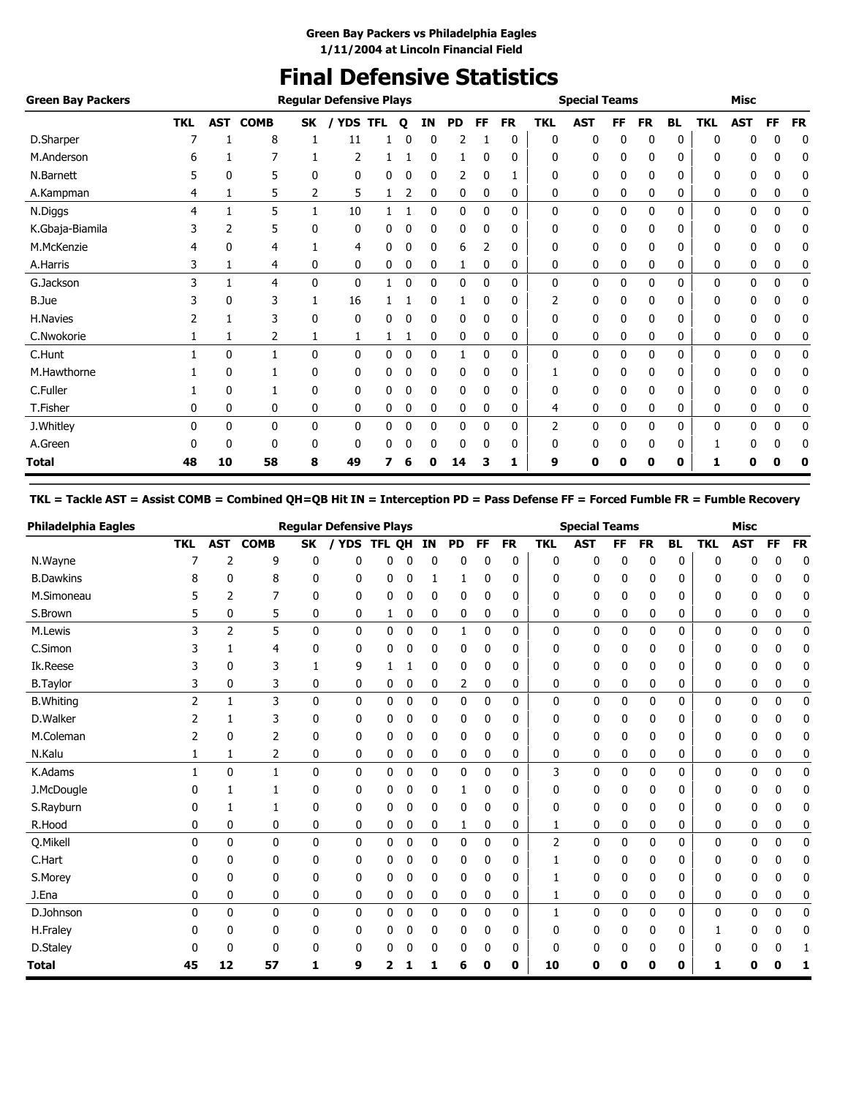### **Final Defensive Statistics**

| <b>Green Bay Packers</b> |            |              |              |              | <b>Regular Defensive Plays</b> |            |              |    |              |              |              |            | <b>Special Teams</b> |           |              |              |              | Misc         |             |           |
|--------------------------|------------|--------------|--------------|--------------|--------------------------------|------------|--------------|----|--------------|--------------|--------------|------------|----------------------|-----------|--------------|--------------|--------------|--------------|-------------|-----------|
|                          | <b>TKL</b> | <b>AST</b>   | <b>COMB</b>  | <b>SK</b>    | / YDS                          | <b>TFL</b> | $\mathbf{o}$ | ΙN | <b>PD</b>    | <b>FF</b>    | <b>FR</b>    | <b>TKL</b> | <b>AST</b>           | <b>FF</b> | <b>FR</b>    | <b>BL</b>    | <b>TKL</b>   | <b>AST</b>   | FF          | <b>FR</b> |
| D.Sharper                |            |              | 8            |              | 11                             |            |              | 0  | 2            |              | 0            | 0          | 0                    | 0         | 0            | 0            | 0            | 0            | 0           | 0         |
| M.Anderson               | 6          |              |              |              | 2                              |            |              | 0  |              | 0            | 0            | 0          | 0                    | 0         | 0            | 0            | 0            | 0            | 0           | 0         |
| N.Barnett                |            | 0            | 5            | 0            | 0                              | 0          | 0            | 0  | 2            | 0            |              | 0          | 0                    | 0         | 0            | 0            | 0            | 0            | 0           | 0         |
| A.Kampman                | 4          |              | 5            | 2            | 5                              |            | 2            | 0  | 0            | 0            | 0            | 0          | 0                    | 0         | 0            | 0            | 0            | 0            | 0           | 0         |
| N.Diggs                  | 4          |              | 5            |              | 10                             |            |              | 0  | 0            | $\Omega$     | 0            | 0          | 0                    | 0         | 0            | $\mathbf{0}$ | $\mathbf{0}$ | 0            | 0           | 0         |
| K.Gbaja-Biamila          |            | 2            | 5            | 0            | 0                              | 0          | 0            | 0  | 0            | $\Omega$     | 0            | 0          | 0                    | 0         | $\mathbf{0}$ | 0            | 0            | 0            | 0           | 0         |
| M.McKenzie               | 4          | 0            | 4            |              | 4                              | 0          | 0            | 0  | 6            |              | 0            | 0          | 0                    | 0         | 0            | 0            | 0            | 0            | 0           | 0         |
| A.Harris                 |            |              | 4            | 0            | 0                              | 0          | 0            | 0  | 1            | 0            | 0            | 0          | 0                    | 0         | 0            | 0            | 0            | 0            | 0           | 0         |
| G.Jackson                | 3          |              | 4            | $\mathbf{0}$ | $\mathbf{0}$                   |            | 0            | 0  | $\mathbf{0}$ | $\mathbf{0}$ | $\mathbf{0}$ | 0          | 0                    | 0         | $\mathbf{0}$ | $\mathbf{0}$ | $\mathbf{0}$ | $\mathbf{0}$ | $\mathbf 0$ | 0         |
| <b>B.Jue</b>             |            | 0            | 3            |              | 16                             |            |              | 0  |              | 0            | 0            | 2          | 0                    | 0         | 0            | 0            | 0            | 0            | 0           | 0         |
| H.Navies                 |            |              | 3            | 0            | 0                              | 0          | 0            | 0  | 0            | 0            | 0            | 0          | 0                    | 0         | 0            | 0            | 0            | 0            | 0           | 0         |
| C.Nwokorie               |            |              | 2            |              | $\mathbf{1}$                   |            |              | 0  | 0            | 0            | 0            | 0          | 0                    | 0         | 0            | 0            | 0            | 0            | 0           | 0         |
| C.Hunt                   |            | $\mathbf{0}$ | 1            | 0            | 0                              | 0          | 0            | 0  |              | $\mathbf{0}$ | 0            | 0          | 0                    | 0         | $\mathbf{0}$ | 0            | $\mathbf{0}$ | 0            | $\mathbf 0$ | 0         |
| M.Hawthorne              |            | 0            |              | 0            | 0                              | 0          | 0            | 0  | 0            | $\mathbf{0}$ | 0            |            | 0                    | 0         | $\mathbf{0}$ | 0            | 0            | 0            | 0           | 0         |
| C.Fuller                 |            | 0            |              | 0            | 0                              | 0          |              | 0  | 0            | 0            | 0            | 0          | 0                    | 0         | 0            | 0            | 0            | 0            | 0           | 0         |
| T.Fisher                 | 0          | 0            | 0            | 0            | 0                              | 0          | 0            | 0  | 0            | 0            | 0            | 4          | 0                    | 0         | 0            | 0            | 0            | 0            | 0           | 0         |
| J.Whitley                | 0          | $\mathbf{0}$ | $\mathbf{0}$ | 0            | 0                              | 0          | 0            | 0  | 0            | 0            | 0            | 2          | 0                    | 0         | 0            | 0            | 0            | 0            | $\mathbf 0$ | 0         |
| A.Green                  |            | 0            | 0            | 0            | 0                              | 0          | 0            | 0  | 0            | 0            | 0            | 0          | 0                    | 0         | 0            | 0            |              | 0            | 0           | 0         |
| Total                    | 48         | 10           | 58           | 8            | 49                             |            |              | Ω  | 14           | 3            | 1            | 9          | Ω                    | Ω         | 0            | 0            | ц            | Ω            |             |           |

### **TKL = Tackle AST = Assist COMB = Combined QH=QB Hit IN = Interception PD = Pass Defense FF = Forced Fumble FR = Fumble Recovery**

| Philadelphia Eagles |                |              |              |              | <b>Regular Defensive Plays</b> |        |             |    |             |           |           |              | <b>Special Teams</b> |    |           |              |            | <b>Misc</b> |              |              |
|---------------------|----------------|--------------|--------------|--------------|--------------------------------|--------|-------------|----|-------------|-----------|-----------|--------------|----------------------|----|-----------|--------------|------------|-------------|--------------|--------------|
|                     | <b>TKL</b>     | <b>AST</b>   | <b>COMB</b>  | <b>SK</b>    | / YDS                          | TFL OH |             | IN | <b>PD</b>   | <b>FF</b> | <b>FR</b> | <b>TKL</b>   | <b>AST</b>           | FF | <b>FR</b> | <b>BL</b>    | <b>TKL</b> | <b>AST</b>  | <b>FF</b>    | <b>FR</b>    |
| N.Wayne             |                | 2            | 9            | 0            | 0                              | 0      | 0           | 0  | 0           | 0         | 0         | 0            | 0                    | 0  | 0         | 0            | 0          | 0           | 0            | $\mathbf 0$  |
| <b>B.Dawkins</b>    |                | 0            | 8            | 0            | 0                              | 0      | 0           |    | 1           | 0         | 0         | 0            | 0                    | 0  | 0         | 0            | ŋ          | 0           | 0            | 0            |
| M.Simoneau          |                | 2            | 7            | 0            | 0                              | 0      | 0           | 0  | 0           | 0         | 0         | 0            | 0                    | 0  | 0         | 0            | 0          | 0           | 0            | 0            |
| S.Brown             | 5              | 0            | 5            | 0            | 0                              | 1      | 0           | 0  | 0           | 0         | 0         | 0            | 0                    | 0  | 0         | 0            | 0          | 0           | 0            | 0            |
| M.Lewis             | 3              | 2            | 5            | $\mathbf{0}$ | 0                              | 0      | $\mathbf 0$ | 0  | 1           | 0         | 0         | 0            | 0                    | 0  | 0         | 0            | 0          | 0           | 0            | 0            |
| C.Simon             |                | 1            | 4            | 0            | 0                              | 0      | 0           | 0  | 0           | 0         | 0         | 0            | 0                    | 0  | 0         | 0            | 0          | 0           | n            | 0            |
| Ik.Reese            |                | 0            | 3            | 1            | 9                              |        |             | 0  | 0           | 0         | 0         | 0            | 0                    | 0  | 0         | 0            | 0          | 0           | 0            | 0            |
| <b>B.Taylor</b>     | 3              | 0            | 3            | 0            | 0                              | 0      | 0           | 0  | 2           | 0         | 0         | 0            | 0                    | 0  | 0         | 0            | 0          | 0           | 0            | 0            |
| <b>B.Whiting</b>    | $\overline{2}$ | $\mathbf{1}$ | 3            | $\mathbf{0}$ | $\mathbf{0}$                   | 0      | 0           | 0  | 0           | 0         | 0         | $\mathbf{0}$ | 0                    | 0  | 0         | $\mathbf{0}$ | 0          | 0           | 0            | $\mathbf{0}$ |
| D.Walker            | 2              | 1            | 3            | 0            | 0                              | 0      | 0           | 0  | 0           | 0         | 0         | 0            | 0                    | 0  | 0         | 0            | 0          | 0           | 0            | 0            |
| M.Coleman           | 2              | 0            | 2            | 0            | 0                              | 0      | 0           | 0  | 0           | 0         | 0         | 0            | 0                    | 0  | 0         | 0            | 0          | 0           | 0            | 0            |
| N.Kalu              |                | 1            | 2            | 0            | 0                              | 0      | 0           | 0  | 0           | 0         | 0         | 0            | 0                    | 0  | 0         | 0            | 0          | 0           | 0            | 0            |
| K.Adams             | 1              | 0            | $\mathbf{1}$ | $\mathbf{0}$ | $\mathbf{0}$                   | 0      | $\mathbf 0$ | 0  | 0           | 0         | 0         | 3            | 0                    | 0  | 0         | $\mathbf{0}$ | 0          | 0           | 0            | 0            |
| J.McDougle          |                |              | 1            | 0            | 0                              | 0      | 0           | 0  | 1           | 0         | 0         | 0            | 0                    | 0  | 0         | 0            | 0          | 0           | n            | 0            |
| S.Rayburn           |                | 1            | 1            | 0            | 0                              | 0      | 0           | 0  | 0           | 0         | 0         | 0            | 0                    | 0  | 0         | 0            | 0          | 0           | 0            | 0            |
| R.Hood              | 0              | 0            | 0            | 0            | 0                              | 0      | 0           | 0  | 1           | 0         | 0         |              | 0                    | 0  | 0         | 0            | 0          | 0           | 0            | 0            |
| Q.Mikell            | $\Omega$       | 0            | $\mathbf{0}$ | $\mathbf{0}$ | $\mathbf{0}$                   | 0      | $\mathbf 0$ | 0  | 0           | 0         | 0         | 2            | 0                    | 0  | 0         | $\mathbf{0}$ | 0          | 0           | 0            | $\mathbf{0}$ |
| C.Hart              |                | 0            | 0            | 0            | 0                              | 0      | 0           | 0  | 0           | 0         | 0         |              | 0                    | 0  | 0         | 0            | ŋ          | 0           | O            | 0            |
| S.Morey             | 0              | 0            | 0            | 0            | 0                              | 0      | 0           | 0  | 0           | 0         | 0         |              | 0                    | 0  | 0         | 0            | 0          | 0           | 0            | 0            |
| J.Ena               | 0              | 0            | 0            | 0            | 0                              | 0      | 0           | 0  | 0           | 0         | 0         | 1            | 0                    | 0  | 0         | 0            | 0          | 0           | 0            | 0            |
| D.Johnson           | 0              | 0            | $\mathbf{0}$ | $\mathbf{0}$ | $\mathbf{0}$                   | 0      | 0           | 0  | $\mathbf 0$ | 0         | 0         | 1            | 0                    | 0  | 0         | 0            | 0          | 0           | $\mathbf{0}$ | 0            |
| H.Fraley            | 0              | 0            | 0            | 0            | 0                              | 0      | 0           | 0  | 0           | 0         | 0         | 0            | 0                    | 0  | 0         | 0            |            | 0           |              | 0            |
| D.Staley            |                | 0            | 0            | 0            | 0                              | n      | በ           | 0  | 0           | U         | 0         | 0            | 0                    | 0  | 0         | 0            | ŋ          | 0           |              |              |
| <b>Total</b>        | 45             | 12           | 57           | 1            | 9                              | 2      |             |    | 6           | 0         | 0         | 10           | 0                    | 0  | 0         | 0            | 1          | 0           | 0            | 1            |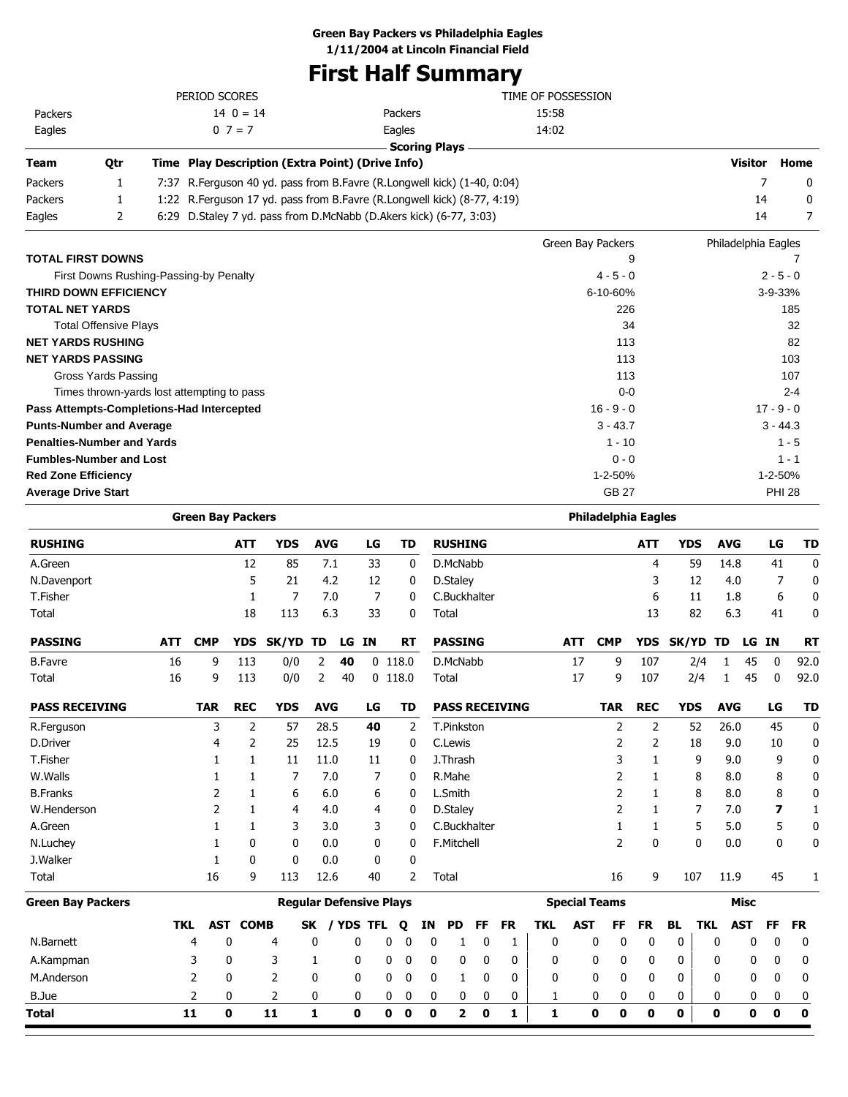### **Green Bay Packers vs Philadelphia Eagles**

**1/11/2004 at Lincoln Financial Field**

# **First Half Summary**

| <b>Team</b> | Otr | Time Play Description (Extra Point) (Drive Info) |               |                    |
|-------------|-----|--------------------------------------------------|---------------|--------------------|
|             |     |                                                  | Scoring Plays |                    |
| Eagles      |     | $0 \t7 = 7$                                      | Eagles        | 14:02              |
| Packers     |     | $14 \t0 = 14$                                    | Packers       | 15:58              |
|             |     | PERIOD SCORES                                    |               | TIME OF POSSESSION |

| Packers | 7:37 R. Ferguson 40 yd. pass from B. Favre (R. Longwell kick) (1-40, 0:04) |  |
|---------|----------------------------------------------------------------------------|--|
| Packers | 1:22 R. Ferguson 17 yd. pass from B. Favre (R. Longwell kick) (8-77, 4:19) |  |
| Eagles  | 6:29 D. Staley 7 yd. pass from D. McNabb (D. Akers kick) (6-77, 3:03)      |  |

**Visitor Home** 

|                                            | Green Bay Packers | Philadelphia Eagles |
|--------------------------------------------|-------------------|---------------------|
| <b>TOTAL FIRST DOWNS</b>                   | 9                 |                     |
| First Downs Rushing-Passing-by Penalty     | $4 - 5 - 0$       | $2 - 5 - 0$         |
| <b>THIRD DOWN EFFICIENCY</b>               | 6-10-60%          | $3 - 9 - 33%$       |
| <b>TOTAL NET YARDS</b>                     | 226               | 185                 |
| <b>Total Offensive Plays</b>               | 34                | 32                  |
| <b>NET YARDS RUSHING</b>                   | 113               | 82                  |
| <b>NET YARDS PASSING</b>                   | 113               | 103                 |
| Gross Yards Passing                        | 113               | 107                 |
| Times thrown-yards lost attempting to pass | $0 - 0$           | $2 - 4$             |
| Pass Attempts-Completions-Had Intercepted  | $16 - 9 - 0$      | $17 - 9 - 0$        |
| <b>Punts-Number and Average</b>            | $3 - 43.7$        | $3 - 44.3$          |
| <b>Penalties-Number and Yards</b>          | $1 - 10$          | $1 - 5$             |
| <b>Fumbles-Number and Lost</b>             | $0 - 0$           | $1 - 1$             |
| <b>Red Zone Efficiency</b>                 | $1 - 2 - 50%$     | $1 - 2 - 50%$       |
| <b>Average Drive Start</b>                 | GB 27             | <b>PHI 28</b>       |

|                          | <b>Green Bay Packers</b> |            |                |                                |              |            |             |             |             |             |                |             |                       |              |            | <b>Philadelphia Eagles</b> |             |              |            |                    |           |              |
|--------------------------|--------------------------|------------|----------------|--------------------------------|--------------|------------|-------------|-------------|-------------|-------------|----------------|-------------|-----------------------|--------------|------------|----------------------------|-------------|--------------|------------|--------------------|-----------|--------------|
| <b>RUSHING</b>           |                          |            | <b>ATT</b>     | <b>YDS</b>                     | <b>AVG</b>   |            | LG          |             | <b>TD</b>   |             | <b>RUSHING</b> |             |                       |              |            |                            | <b>ATT</b>  | <b>YDS</b>   |            | <b>AVG</b>         | LG        | <b>TD</b>    |
| A.Green                  |                          |            | 12             | 85                             |              | 7.1        | 33          |             | $\mathbf 0$ |             | D.McNabb       |             |                       |              |            |                            | 4           | 59           |            | 14.8               | 41        | $\mathbf{0}$ |
| N.Davenport              |                          |            | 5              | 21                             |              | 4.2        | 12          |             | 0           |             | D.Staley       |             |                       |              |            |                            | 3           | 12           |            | 4.0                | 7         | $\bf{0}$     |
| T.Fisher                 |                          |            | 1              | $\overline{7}$                 |              | 7.0        | 7           |             | 0           |             | C.Buckhalter   |             |                       |              |            |                            | 6           | 11           |            | 1.8                | 6         | 0            |
| Total                    |                          |            | 18             | 113                            |              | 6.3        | 33          |             | 0           |             | Total          |             |                       |              |            |                            | 13          | 82           |            | 6.3                | 41        | $\mathbf 0$  |
| <b>PASSING</b>           | <b>ATT</b>               | <b>CMP</b> | <b>YDS</b>     | <b>SK/YD</b>                   | TD           | LG         | <b>IN</b>   |             | <b>RT</b>   |             | <b>PASSING</b> |             |                       |              | <b>ATT</b> | <b>CMP</b>                 | <b>YDS</b>  | <b>SK/YD</b> | <b>TD</b>  |                    | LG IN     | <b>RT</b>    |
| <b>B.Favre</b>           | 16                       | 9          | 113            | 0/0                            | 2            | 40         |             | $0$ 118.0   |             |             | D.McNabb       |             |                       |              | 17         | 9                          | 107         | 2/4          |            | 45<br>1            | 0         | 92.0         |
| Total                    | 16                       | 9          | 113            | 0/0                            | 2            | 40         |             | $0$ 118.0   |             |             | Total          |             |                       |              | 17         | 9                          | 107         | 2/4          |            | 45<br>$\mathbf{1}$ | 0         | 92.0         |
| <b>PASS RECEIVING</b>    |                          | <b>TAR</b> | <b>REC</b>     | <b>YDS</b>                     | <b>AVG</b>   |            | LG          |             | TD          |             |                |             | <b>PASS RECEIVING</b> |              |            | <b>TAR</b>                 | <b>REC</b>  | <b>YDS</b>   |            | <b>AVG</b>         | LG        | TD           |
| R.Ferguson               |                          | 3          | $\overline{2}$ | 57                             | 28.5         |            | 40          |             | 2           |             | T.Pinkston     |             |                       |              |            | 2                          | 2           | 52           |            | 26.0               | 45        | $\mathbf 0$  |
| <b>D.Driver</b>          |                          | 4          | 2              | 25                             | 12.5         |            | 19          |             | 0           |             | C.Lewis        |             |                       |              |            | 2                          | 2           | 18           |            | 9.0                | 10        | 0            |
| T.Fisher                 |                          | 1          | 1              | 11                             | 11.0         |            | 11          |             | 0           |             | J.Thrash       |             |                       |              |            | 3                          | 1           | 9            |            | 9.0                | 9         | $\mathbf 0$  |
| W.Walls                  |                          |            |                | 7                              |              | 7.0        | 7           |             | 0           |             | R.Mahe         |             |                       |              |            | 2                          |             | 8            |            | 8.0                | 8         | 0            |
| <b>B.Franks</b>          |                          | 2          |                | 6                              |              | 6.0        | 6           |             | 0           |             | L.Smith        |             |                       |              |            | 2                          | 1           | 8            |            | 8.0                | 8         | 0            |
| W.Henderson              |                          | 2          | $\mathbf{1}$   | 4                              |              | 4.0        | 4           |             | 0           |             | D.Staley       |             |                       |              |            | 2                          | 1           | 7            |            | 7.0                | 7         | 1            |
| A.Green                  |                          | 1          | 1              | 3                              |              | 3.0        | 3           |             | 0           |             | C.Buckhalter   |             |                       |              |            | 1                          | 1           | 5            |            | 5.0                | 5         | $\mathbf 0$  |
| N.Luchey                 |                          | 1          | 0              | 0                              |              | 0.0        | 0           |             | 0           |             | F.Mitchell     |             |                       |              |            | 2                          | $\mathbf 0$ | 0            |            | 0.0                | 0         | 0            |
| J.Walker                 |                          | 1          | 0              | 0                              |              | 0.0        | 0           |             | 0           |             |                |             |                       |              |            |                            |             |              |            |                    |           |              |
| Total                    |                          | 16         | 9              | 113                            | 12.6         |            | 40          |             | 2           |             | Total          |             |                       |              |            | 16                         | 9           | 107          |            | 11.9               | 45        | 1            |
| <b>Green Bay Packers</b> |                          |            |                | <b>Reqular Defensive Plays</b> |              |            |             |             |             |             |                |             |                       |              |            | <b>Special Teams</b>       |             |              |            | <b>Misc</b>        |           |              |
|                          | <b>TKL</b>               | <b>AST</b> | <b>COMB</b>    |                                | <b>SK</b>    | <b>YDS</b> | <b>TFL</b>  |             | Q           | ΙN          | <b>PD</b>      | <b>FF</b>   | <b>FR</b>             | <b>TKL</b>   | <b>AST</b> | FF                         | <b>FR</b>   | <b>BL</b>    | <b>TKL</b> | <b>AST</b>         | <b>FF</b> | <b>FR</b>    |
| N.Barnett                |                          | 4          | 0              | 4                              | 0            |            | 0           | 0           | 0           | 0           | 1              | 0           | 1                     | $\mathbf 0$  |            | 0<br>0                     | $\mathbf 0$ | 0            | 0          | 0                  | 0         | 0            |
| A.Kampman                |                          | 3          | 0              | 3                              | 1            |            | 0           | 0           | $\mathbf 0$ | 0           | 0              | 0           | 0                     | 0            |            | 0<br>0                     | 0           | 0            | 0          | 0                  | 0         | 0            |
| M.Anderson               |                          | 2          | 0              | $\overline{2}$                 | 0            |            | 0           | 0           | $\mathbf 0$ | 0           | 1              | 0           | 0                     | 0            |            | 0<br>0                     | 0           | 0            | 0          | 0                  | 0         | 0            |
| B.Jue                    |                          | 2          | 0              | 2                              | 0            |            | 0           | 0           | 0           | 0           | 0              | 0           | 0                     | 1            |            | 0<br>0                     | 0           | 0            | 0          | 0                  | 0         | 0            |
| Total                    |                          | 11         | $\mathbf{0}$   | 11                             | $\mathbf{1}$ |            | $\mathbf 0$ | $\mathbf 0$ | $\mathbf 0$ | $\mathbf 0$ | $\mathbf{z}$   | $\mathbf 0$ | 1                     | $\mathbf{1}$ |            | $\mathbf 0$<br>$\mathbf 0$ | 0           | $\mathbf 0$  | 0          | $\mathbf 0$        | $\bf{0}$  | $\mathbf 0$  |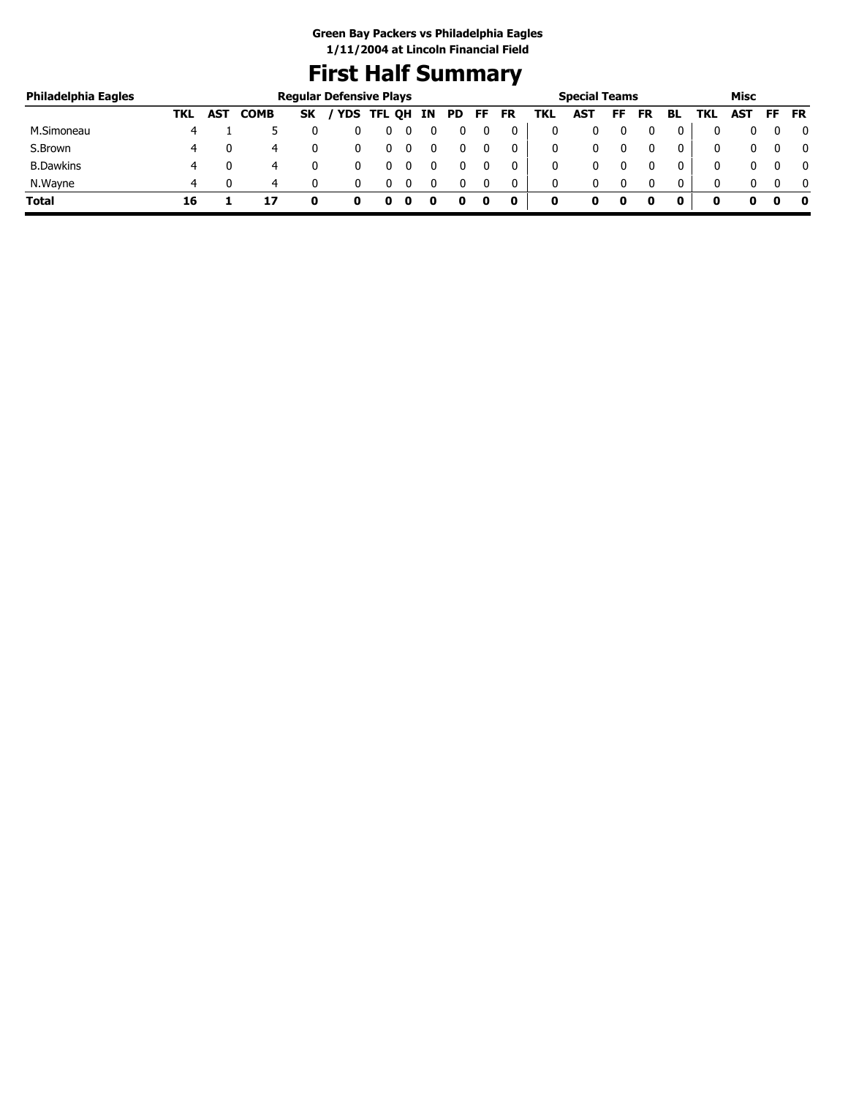### **First Half Summary**

| Philadelphia Eagles |     |     |             | <b>Regular Defensive Plays</b> |            |        |    |     |    |    |     | <b>Special Teams</b> |    |           |    |            | Misc       |    |           |
|---------------------|-----|-----|-------------|--------------------------------|------------|--------|----|-----|----|----|-----|----------------------|----|-----------|----|------------|------------|----|-----------|
|                     | TKL | AST | <b>COMB</b> | <b>SK</b>                      | <b>YDS</b> | TFL QH | IN | PD. | FF | FR | TKL | <b>AST</b>           | FF | <b>FR</b> | BL | <b>TKL</b> | <b>AST</b> | FF | <b>FR</b> |
| M.Simoneau          |     |     |             |                                |            |        |    |     |    |    | 0   |                      |    |           | 0  |            |            |    | $\bf{0}$  |
| S.Brown             | 4   |     | 4           |                                |            |        |    |     |    | 0  | 0   |                      |    |           | 0  |            |            |    | $\bf{0}$  |
| <b>B.Dawkins</b>    | 4   |     | 4           |                                |            |        |    |     |    |    | 0   |                      |    |           | 0  |            |            |    | $\bf{0}$  |
| N.Wayne             | 4   |     | 4           |                                |            |        |    |     |    |    | 0   |                      |    |           | 0  |            |            |    | $\Omega$  |
| <b>Total</b>        | 16  |     |             |                                |            |        |    |     |    | 0  | 0   | o                    | 0  |           |    |            |            |    | 0         |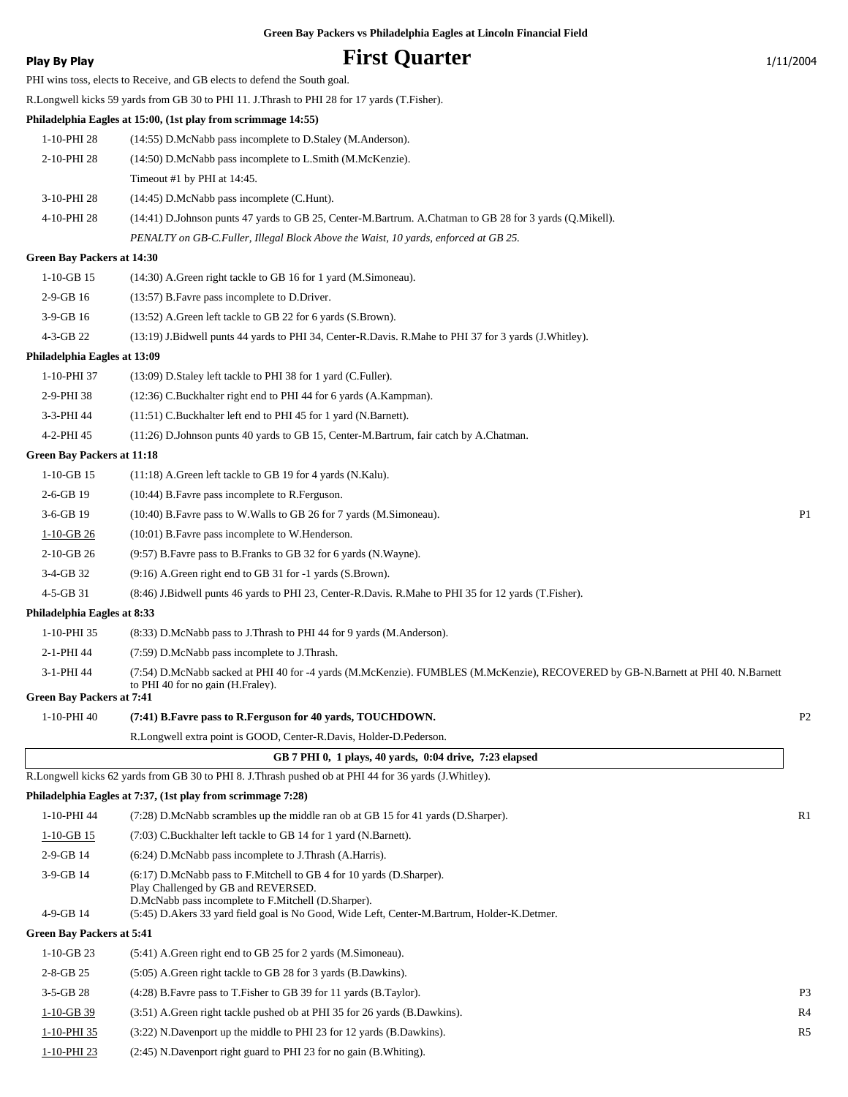|  | Green Bay Packers vs Philadelphia Eagles at Lincoln Financial Field |  |  |  |
|--|---------------------------------------------------------------------|--|--|--|
|  |                                                                     |  |  |  |

### **Play By Play Play Play Play By Play First Quarter** 1/11/2004

|                                                | PHI wins toss, elects to Receive, and GB elects to defend the South goal.                                                                                                                    |                |
|------------------------------------------------|----------------------------------------------------------------------------------------------------------------------------------------------------------------------------------------------|----------------|
|                                                | R.Longwell kicks 59 yards from GB 30 to PHI 11. J.Thrash to PHI 28 for 17 yards (T.Fisher).                                                                                                  |                |
|                                                | Philadelphia Eagles at 15:00, (1st play from scrimmage 14:55)                                                                                                                                |                |
| 1-10-PHI 28                                    | (14:55) D.McNabb pass incomplete to D.Staley (M.Anderson).                                                                                                                                   |                |
| 2-10-PHI 28                                    | (14:50) D.McNabb pass incomplete to L.Smith (M.McKenzie).                                                                                                                                    |                |
|                                                | Timeout #1 by PHI at 14:45.                                                                                                                                                                  |                |
| 3-10-PHI 28                                    | (14:45) D.McNabb pass incomplete (C.Hunt).                                                                                                                                                   |                |
| 4-10-PHI 28                                    | (14:41) D.Johnson punts 47 yards to GB 25, Center-M.Bartrum. A.Chatman to GB 28 for 3 yards (Q.Mikell).                                                                                      |                |
|                                                | PENALTY on GB-C.Fuller, Illegal Block Above the Waist, 10 yards, enforced at GB 25.                                                                                                          |                |
| Green Bay Packers at 14:30                     |                                                                                                                                                                                              |                |
| 1-10-GB 15                                     | (14:30) A.Green right tackle to GB 16 for 1 yard (M.Simoneau).                                                                                                                               |                |
| $2-9-GB16$                                     | (13:57) B. Favre pass incomplete to D. Driver.                                                                                                                                               |                |
| 3-9-GB 16                                      | (13:52) A.Green left tackle to GB 22 for 6 yards (S.Brown).                                                                                                                                  |                |
| $4-3-GB$ 22                                    | (13:19) J.Bidwell punts 44 yards to PHI 34, Center-R.Davis. R.Mahe to PHI 37 for 3 yards (J.Whitley).                                                                                        |                |
| Philadelphia Eagles at 13:09                   |                                                                                                                                                                                              |                |
| 1-10-PHI 37                                    | (13:09) D.Staley left tackle to PHI 38 for 1 yard (C.Fuller).                                                                                                                                |                |
| 2-9-PHI 38                                     | (12:36) C.Buckhalter right end to PHI 44 for 6 yards (A.Kampman).                                                                                                                            |                |
| 3-3-PHI 44                                     | (11:51) C.Buckhalter left end to PHI 45 for 1 yard (N.Barnett).                                                                                                                              |                |
| 4-2-PHI 45                                     | (11:26) D.Johnson punts 40 yards to GB 15, Center-M.Bartrum, fair catch by A.Chatman.                                                                                                        |                |
| Green Bay Packers at 11:18                     |                                                                                                                                                                                              |                |
| $1-10-GB$ 15                                   | (11:18) A.Green left tackle to GB 19 for 4 yards (N.Kalu).                                                                                                                                   |                |
| 2-6-GB 19                                      | $(10:44)$ B. Favre pass incomplete to R. Ferguson.                                                                                                                                           |                |
| 3-6-GB 19                                      | (10:40) B. Favre pass to W. Walls to GB 26 for 7 yards (M. Simoneau).                                                                                                                        | P1             |
| $1-10-GB26$                                    | (10:01) B. Favre pass incomplete to W. Henderson.                                                                                                                                            |                |
| $2-10-GB26$                                    | (9:57) B. Favre pass to B. Franks to GB 32 for 6 yards (N. Wayne).                                                                                                                           |                |
| 3-4-GB 32                                      | (9:16) A.Green right end to GB 31 for -1 yards (S.Brown).                                                                                                                                    |                |
| 4-5-GB 31                                      | (8:46) J.Bidwell punts 46 yards to PHI 23, Center-R.Davis. R.Mahe to PHI 35 for 12 yards (T.Fisher).                                                                                         |                |
| Philadelphia Eagles at 8:33                    |                                                                                                                                                                                              |                |
| 1-10-PHI 35                                    | (8:33) D.McNabb pass to J.Thrash to PHI 44 for 9 yards (M.Anderson).                                                                                                                         |                |
| 2-1-PHI 44                                     | (7:59) D.McNabb pass incomplete to J.Thrash.                                                                                                                                                 |                |
| 3-1-PHI 44<br><b>Green Bay Packers at 7:41</b> | (7:54) D.McNabb sacked at PHI 40 for -4 yards (M.McKenzie). FUMBLES (M.McKenzie), RECOVERED by GB-N.Barnett at PHI 40. N.Barnett<br>to PHI 40 for no gain (H.Fraley).                        |                |
| 1-10-PHI 40                                    | (7:41) B.Favre pass to R.Ferguson for 40 yards, TOUCHDOWN.                                                                                                                                   | P <sub>2</sub> |
|                                                | R.Longwell extra point is GOOD, Center-R.Davis, Holder-D.Pederson.                                                                                                                           |                |
|                                                | GB 7 PHI 0, 1 plays, 40 yards, 0:04 drive, 7:23 elapsed                                                                                                                                      |                |
|                                                | R.Longwell kicks 62 yards from GB 30 to PHI 8. J.Thrash pushed ob at PHI 44 for 36 yards (J.Whitley).                                                                                        |                |
|                                                | Philadelphia Eagles at 7:37, (1st play from scrimmage 7:28)                                                                                                                                  |                |
| 1-10-PHI 44                                    | (7:28) D.McNabb scrambles up the middle ran ob at GB 15 for 41 yards (D.Sharper).                                                                                                            | R1             |
| $1-10-GB$ 15                                   | (7:03) C.Buckhalter left tackle to GB 14 for 1 yard (N.Barnett).                                                                                                                             |                |
| 2-9-GB 14                                      | (6:24) D.McNabb pass incomplete to J.Thrash (A.Harris).                                                                                                                                      |                |
| 3-9-GB 14                                      | $(6:17)$ D.McNabb pass to F.Mitchell to GB 4 for 10 yards (D.Sharper).                                                                                                                       |                |
| 4-9-GB 14                                      | Play Challenged by GB and REVERSED.<br>D.McNabb pass incomplete to F.Mitchell (D.Sharper).<br>(5:45) D. Akers 33 yard field goal is No Good, Wide Left, Center-M. Bartrum, Holder-K. Detmer. |                |
| <b>Green Bay Packers at 5:41</b>               |                                                                                                                                                                                              |                |
| $1-10-GB$ 23                                   | (5:41) A. Green right end to GB 25 for 2 yards (M. Simoneau).                                                                                                                                |                |
| 2-8-GB 25                                      | (5:05) A. Green right tackle to GB 28 for 3 yards (B. Dawkins).                                                                                                                              |                |
| 3-5-GB 28                                      | $(4:28)$ B. Favre pass to T. Fisher to GB 39 for 11 yards $(B.Taylor)$ .                                                                                                                     | P <sub>3</sub> |
| $1-10-GB$ 39                                   | (3:51) A. Green right tackle pushed ob at PHI 35 for 26 yards (B. Dawkins).                                                                                                                  | R4             |
| 1-10-PHI 35                                    | (3:22) N.Davenport up the middle to PHI 23 for 12 yards (B.Dawkins).                                                                                                                         | R <sub>5</sub> |

1-10-PHI 23 (2:45) N.Davenport right guard to PHI 23 for no gain (B.Whiting).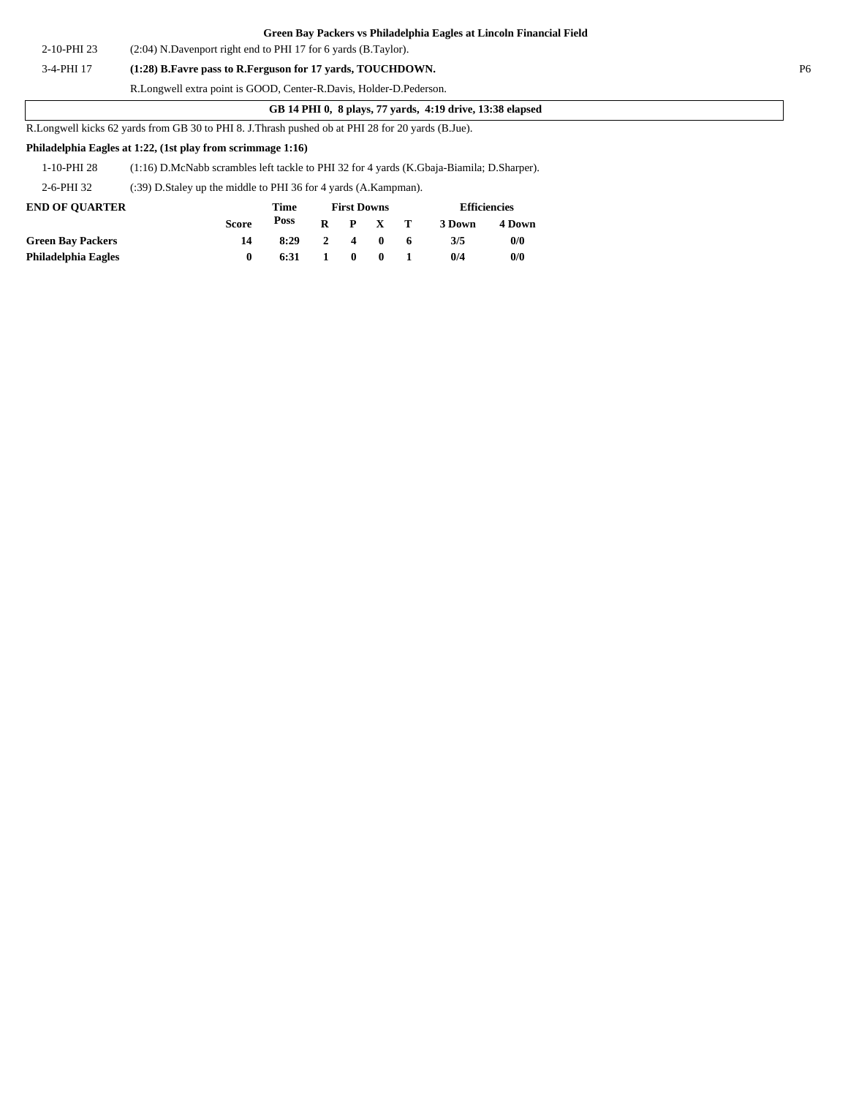|             | Green Bay Packers vs Philadelphia Eagles at Lincoln Financial Field |                |
|-------------|---------------------------------------------------------------------|----------------|
| 2-10-PHI 23 | $(2:04)$ N.Davenport right end to PHI 17 for 6 yards (B.Taylor).    |                |
| 3-4-PHI 17  | (1:28) B. Favre pass to R. Ferguson for 17 yards, TOUCHDOWN.        | P <sub>6</sub> |
|             | R.Longwell extra point is GOOD, Center-R.Davis, Holder-D.Pederson.  |                |
|             | GB 14 PHI 0, 8 plays, 77 yards, 4:19 drive, 13:38 elapsed           |                |

R.Longwell kicks 62 yards from GB 30 to PHI 8. J.Thrash pushed ob at PHI 28 for 20 yards (B.Jue).

#### **Philadelphia Eagles at 1:22, (1st play from scrimmage 1:16)**

| 1-10-PHI 28 | (1:16) D.McNabb scrambles left tackle to PHI 32 for 4 yards (K.Gbaja-Biamila; D.Sharper). |  |
|-------------|-------------------------------------------------------------------------------------------|--|
|             |                                                                                           |  |

2-6-PHI 32 (:39) D.Staley up the middle to PHI 36 for 4 yards (A.Kampman).

| <b>END OF OUARTER</b>    |              | Time |              | <b>First Downs</b> |                 |    |        | <b>Efficiencies</b> |
|--------------------------|--------------|------|--------------|--------------------|-----------------|----|--------|---------------------|
|                          | <b>Score</b> | Poss |              |                    | $R$ $P$ $X$ $T$ |    | 3 Down | 4 Down              |
| <b>Green Bay Packers</b> | 14           | 8:29 | $\mathbf{2}$ | $\overline{4}$     | $\mathbf{0}$    | -6 | 3/5    | 0/0                 |
| Philadelphia Eagles      |              | 6:31 | 1.           | $\mathbf{0}$       | $\mathbf{0}$    |    | 0/4    | 0/0                 |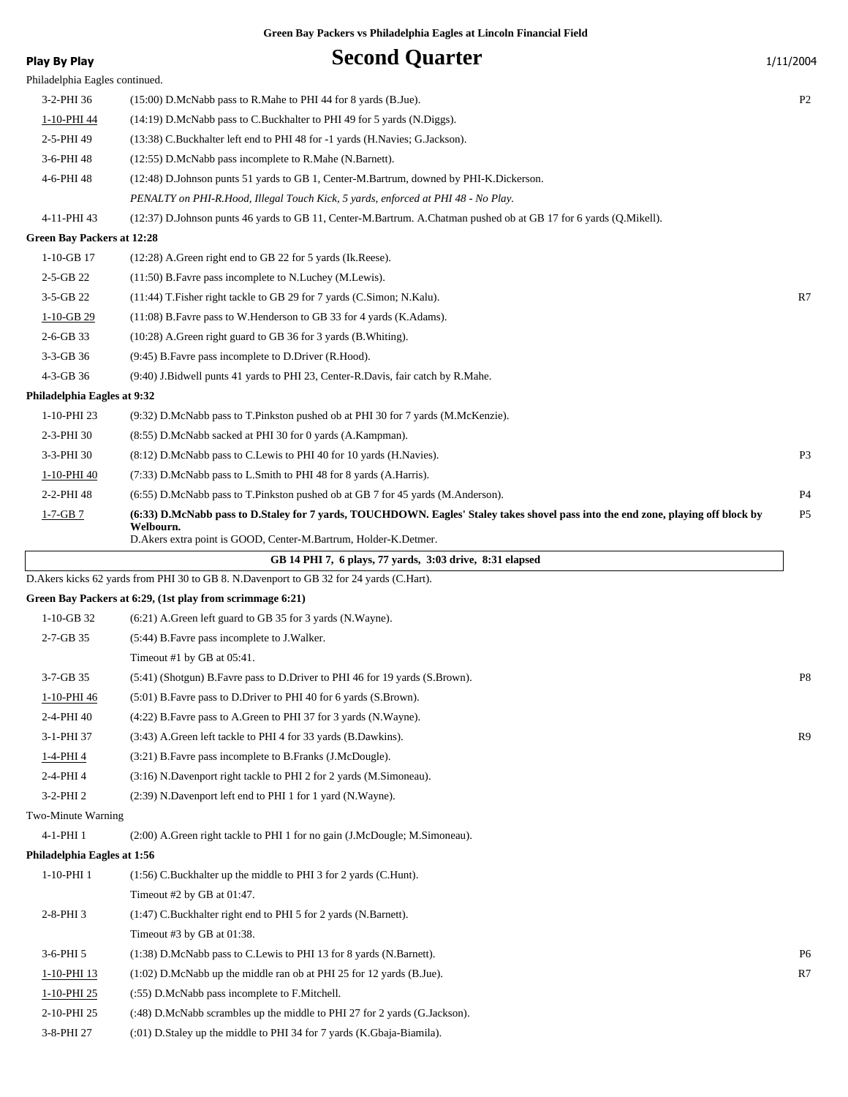| Play By Play                      | <b>Second Quarter</b>                                                                                                                                                                                             | 1/11/2004      |
|-----------------------------------|-------------------------------------------------------------------------------------------------------------------------------------------------------------------------------------------------------------------|----------------|
| Philadelphia Eagles continued.    |                                                                                                                                                                                                                   |                |
| 3-2-PHI 36                        | $(15:00)$ D.McNabb pass to R.Mahe to PHI 44 for 8 yards (B.Jue).                                                                                                                                                  | P <sub>2</sub> |
| 1-10-PHI 44                       | (14:19) D.McNabb pass to C.Buckhalter to PHI 49 for 5 yards (N.Diggs).                                                                                                                                            |                |
| 2-5-PHI 49                        | (13:38) C.Buckhalter left end to PHI 48 for -1 yards (H.Navies; G.Jackson).                                                                                                                                       |                |
| 3-6-PHI 48                        | (12:55) D.McNabb pass incomplete to R.Mahe (N.Barnett).                                                                                                                                                           |                |
| 4-6-PHI 48                        | (12:48) D.Johnson punts 51 yards to GB 1, Center-M.Bartrum, downed by PHI-K.Dickerson.                                                                                                                            |                |
|                                   | PENALTY on PHI-R.Hood, Illegal Touch Kick, 5 yards, enforced at PHI 48 - No Play.                                                                                                                                 |                |
| 4-11-PHI 43                       | (12:37) D.Johnson punts 46 yards to GB 11, Center-M.Bartrum. A.Chatman pushed ob at GB 17 for 6 yards (Q.Mikell).                                                                                                 |                |
| <b>Green Bay Packers at 12:28</b> |                                                                                                                                                                                                                   |                |
| $1-10-GB$ 17                      | $(12:28)$ A. Green right end to GB 22 for 5 yards (Ik. Reese).                                                                                                                                                    |                |
| $2-5-GB$ 22                       | (11:50) B. Favre pass incomplete to N. Luchey (M. Lewis).                                                                                                                                                         |                |
| 3-5-GB 22                         | (11:44) T. Fisher right tackle to GB 29 for 7 yards (C. Simon; N. Kalu).                                                                                                                                          | R7             |
| $1-10-GB$ 29                      | (11:08) B. Favre pass to W. Henderson to GB 33 for 4 yards (K. Adams).                                                                                                                                            |                |
| $2-6-GB$ 33                       | $(10:28)$ A. Green right guard to GB 36 for 3 yards (B. Whiting).                                                                                                                                                 |                |
| 3-3-GB 36                         | (9:45) B. Favre pass incomplete to D. Driver (R. Hood).                                                                                                                                                           |                |
| 4-3-GB 36                         | (9:40) J.Bidwell punts 41 yards to PHI 23, Center-R.Davis, fair catch by R.Mahe.                                                                                                                                  |                |
| Philadelphia Eagles at 9:32       |                                                                                                                                                                                                                   |                |
| 1-10-PHI 23                       | (9:32) D.McNabb pass to T.Pinkston pushed ob at PHI 30 for 7 yards (M.McKenzie).                                                                                                                                  |                |
| 2-3-PHI 30                        | (8:55) D.McNabb sacked at PHI 30 for 0 yards (A.Kampman).                                                                                                                                                         |                |
| 3-3-PHI 30                        | (8:12) D.McNabb pass to C.Lewis to PHI 40 for 10 yards (H.Navies).                                                                                                                                                | P <sub>3</sub> |
| 1-10-PHI 40                       | (7:33) D.McNabb pass to L.Smith to PHI 48 for 8 yards (A.Harris).                                                                                                                                                 |                |
| 2-2-PHI 48                        | (6.55) D.McNabb pass to T.Pinkston pushed ob at GB 7 for 45 yards (M.Anderson).                                                                                                                                   | P <sub>4</sub> |
| $1 - 7 - GB$ 7                    | (6:33) D.McNabb pass to D.Staley for 7 yards, TOUCHDOWN. Eagles' Staley takes shovel pass into the end zone, playing off block by<br>Welbourn.<br>D.Akers extra point is GOOD, Center-M.Bartrum, Holder-K.Detmer. | P <sub>5</sub> |
|                                   | GB 14 PHI 7, 6 plays, 77 yards, 3:03 drive, 8:31 elapsed                                                                                                                                                          |                |
|                                   | D. Akers kicks 62 yards from PHI 30 to GB 8. N. Davenport to GB 32 for 24 yards (C. Hart).                                                                                                                        |                |
|                                   | Green Bay Packers at 6:29, (1st play from scrimmage 6:21)                                                                                                                                                         |                |
| $1-10-GB$ 32                      | (6:21) A.Green left guard to GB 35 for 3 yards (N.Wayne).                                                                                                                                                         |                |
| $2 - 7 - GB$ 35                   | (5:44) B. Favre pass incomplete to J. Walker.                                                                                                                                                                     |                |
|                                   | Timeout #1 by GB at $05:41$ .                                                                                                                                                                                     |                |
| 3-7-GB 35                         | (5:41) (Shotgun) B. Favre pass to D. Driver to PHI 46 for 19 yards (S. Brown).                                                                                                                                    | P8             |
| 1-10-PHI 46                       | (5:01) B. Favre pass to D. Driver to PHI 40 for 6 yards (S. Brown).                                                                                                                                               |                |
| 2-4-PHI 40                        | (4:22) B. Favre pass to A. Green to PHI 37 for 3 yards (N. Wayne).                                                                                                                                                |                |
| 3-1-PHI 37                        | (3:43) A.Green left tackle to PHI 4 for 33 yards (B.Dawkins).                                                                                                                                                     | R9             |
| 1-4-PHI 4                         | (3:21) B. Favre pass incomplete to B. Franks (J. McDougle).                                                                                                                                                       |                |
| 2-4-PHI 4                         | (3:16) N.Davenport right tackle to PHI 2 for 2 yards (M.Simoneau).                                                                                                                                                |                |
| 3-2-PHI 2                         | (2:39) N.Davenport left end to PHI 1 for 1 yard (N.Wayne).                                                                                                                                                        |                |
| Two-Minute Warning                |                                                                                                                                                                                                                   |                |
| 4-1-PHI 1                         | (2:00) A.Green right tackle to PHI 1 for no gain (J.McDougle; M.Simoneau).                                                                                                                                        |                |
| Philadelphia Eagles at 1:56       |                                                                                                                                                                                                                   |                |
| 1-10-PHI 1                        | (1:56) C.Buckhalter up the middle to PHI 3 for 2 yards (C.Hunt).                                                                                                                                                  |                |
|                                   | Timeout #2 by GB at 01:47.                                                                                                                                                                                        |                |
| $2-8-PHI$ 3                       | (1:47) C.Buckhalter right end to PHI 5 for 2 yards (N.Barnett).                                                                                                                                                   |                |
|                                   | Timeout #3 by GB at 01:38.                                                                                                                                                                                        |                |
| 3-6-PHI 5                         | (1:38) D.McNabb pass to C.Lewis to PHI 13 for 8 yards (N.Barnett).                                                                                                                                                | P <sub>6</sub> |
| 1-10-PHI 13                       | (1:02) D.McNabb up the middle ran ob at PHI 25 for 12 yards (B.Jue).                                                                                                                                              | R7             |
| 1-10-PHI 25                       | (:55) D.McNabb pass incomplete to F.Mitchell.                                                                                                                                                                     |                |
| 2-10-PHI 25                       | (:48) D.McNabb scrambles up the middle to PHI 27 for 2 yards (G.Jackson).                                                                                                                                         |                |
|                                   |                                                                                                                                                                                                                   |                |

3-8-PHI 27 (:01) D.Staley up the middle to PHI 34 for 7 yards (K.Gbaja-Biamila).

 $\overline{\phantom{a}}$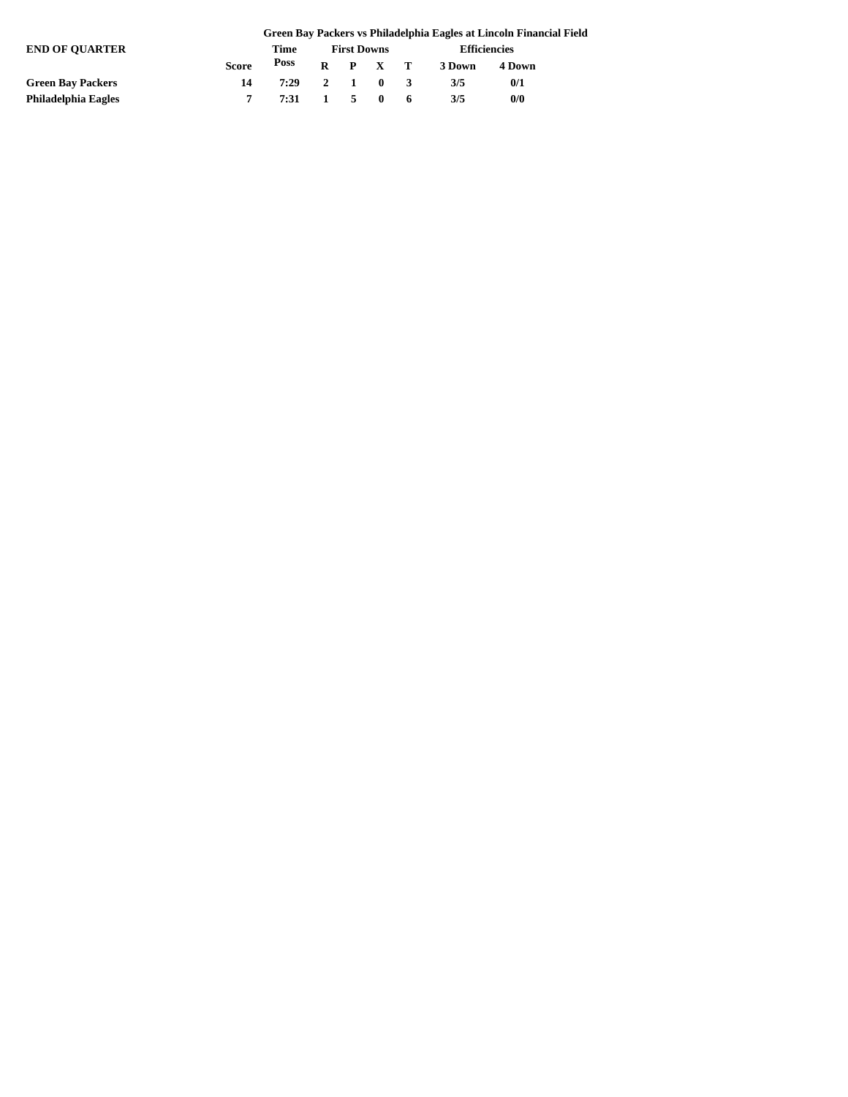|                          | Green Bay Packers vs Philadelphia Eagles at Lincoln Financial Field |              |  |                    |                 |  |                     |        |  |  |
|--------------------------|---------------------------------------------------------------------|--------------|--|--------------------|-----------------|--|---------------------|--------|--|--|
| <b>END OF OUARTER</b>    |                                                                     | Time         |  | <b>First Downs</b> |                 |  | <b>Efficiencies</b> |        |  |  |
|                          | <b>Score</b>                                                        | Poss         |  |                    | $R$ $P$ $X$ $T$ |  | 3 Down              | 4 Down |  |  |
| <b>Green Bay Packers</b> | 14                                                                  | 7:29 2 1 0 3 |  |                    |                 |  | 3/5                 | 0/1    |  |  |
| Philadelphia Eagles      |                                                                     | 7:31 1 5 0 6 |  |                    |                 |  | 3/5                 | 0/0    |  |  |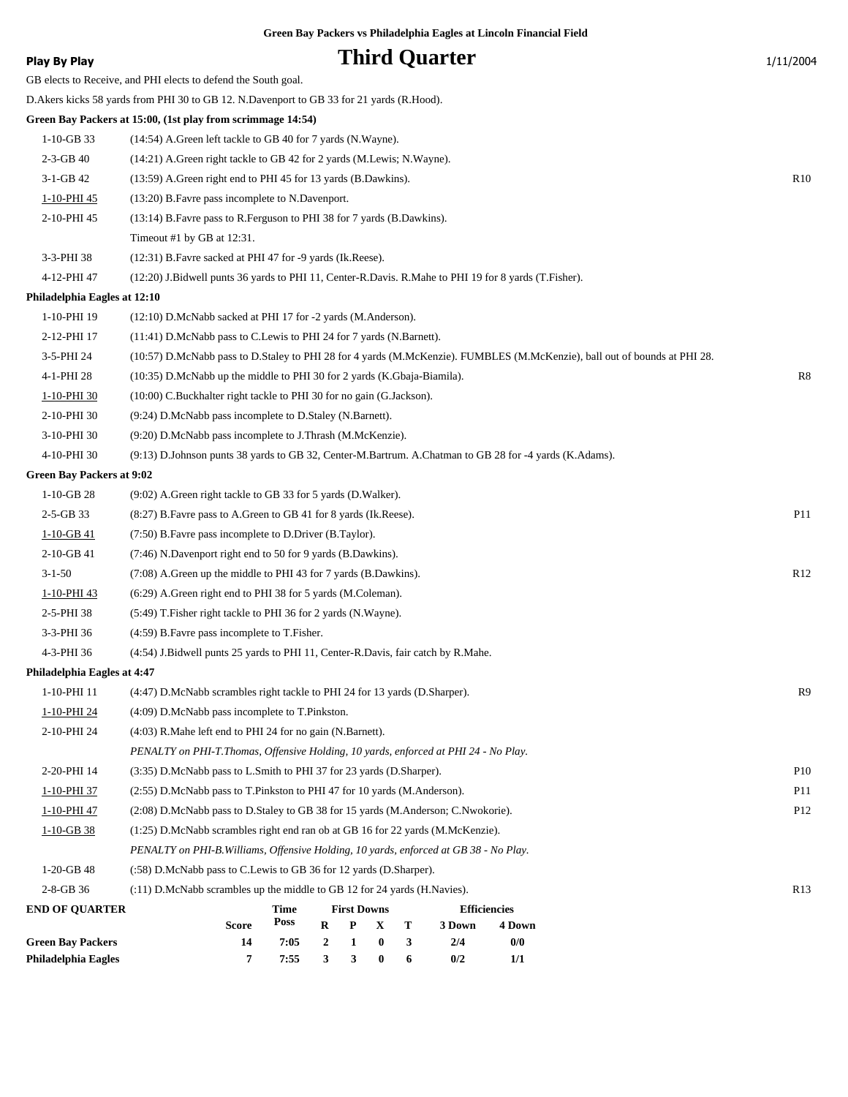| Play By Play                     | <b>Third Quarter</b>                                                                                                      | 1/11/2004       |
|----------------------------------|---------------------------------------------------------------------------------------------------------------------------|-----------------|
|                                  | GB elects to Receive, and PHI elects to defend the South goal.                                                            |                 |
|                                  | D. Akers kicks 58 yards from PHI 30 to GB 12. N. Davenport to GB 33 for 21 yards (R. Hood).                               |                 |
|                                  | Green Bay Packers at 15:00, (1st play from scrimmage 14:54)                                                               |                 |
| $1-10-GB$ 33                     | (14:54) A.Green left tackle to GB 40 for 7 yards (N.Wayne).                                                               |                 |
| $2-3-GB$ 40                      | (14:21) A. Green right tackle to GB 42 for 2 yards (M. Lewis; N. Wayne).                                                  |                 |
| 3-1-GB 42                        | (13:59) A. Green right end to PHI 45 for 13 yards (B. Dawkins).                                                           | R <sub>10</sub> |
| 1-10-PHI 45                      | (13:20) B. Favre pass incomplete to N. Davenport.                                                                         |                 |
| 2-10-PHI 45                      | (13:14) B. Favre pass to R. Ferguson to PHI 38 for 7 yards (B. Dawkins).                                                  |                 |
|                                  | Timeout #1 by GB at 12:31.                                                                                                |                 |
| 3-3-PHI 38                       | (12:31) B. Favre sacked at PHI 47 for -9 yards (Ik. Reese).                                                               |                 |
| 4-12-PHI 47                      | (12:20) J.Bidwell punts 36 yards to PHI 11, Center-R.Davis. R.Mahe to PHI 19 for 8 yards (T.Fisher).                      |                 |
| Philadelphia Eagles at 12:10     |                                                                                                                           |                 |
| 1-10-PHI 19                      | (12:10) D.McNabb sacked at PHI 17 for -2 yards (M.Anderson).                                                              |                 |
| 2-12-PHI 17                      | (11:41) D.McNabb pass to C.Lewis to PHI 24 for 7 yards (N.Barnett).                                                       |                 |
| 3-5-PHI 24                       | (10:57) D.McNabb pass to D.Staley to PHI 28 for 4 yards (M.McKenzie). FUMBLES (M.McKenzie), ball out of bounds at PHI 28. |                 |
| 4-1-PHI 28                       | $(10:35)$ D.McNabb up the middle to PHI 30 for 2 yards (K.Gbaja-Biamila).                                                 | R8              |
| 1-10-PHI 30                      | (10:00) C.Buckhalter right tackle to PHI 30 for no gain (G.Jackson).                                                      |                 |
| 2-10-PHI 30                      | (9:24) D.McNabb pass incomplete to D.Staley (N.Barnett).                                                                  |                 |
| 3-10-PHI 30                      | (9:20) D.McNabb pass incomplete to J.Thrash (M.McKenzie).                                                                 |                 |
| 4-10-PHI 30                      | (9:13) D.Johnson punts 38 yards to GB 32, Center-M.Bartrum. A.Chatman to GB 28 for -4 yards (K.Adams).                    |                 |
| <b>Green Bay Packers at 9:02</b> |                                                                                                                           |                 |
| $1-10-GB28$                      | (9:02) A.Green right tackle to GB 33 for 5 yards (D.Walker).                                                              |                 |
| $2-5-GB$ 33                      | (8:27) B. Favre pass to A. Green to GB 41 for 8 yards (Ik. Reese).                                                        | P11             |
| $1-10-GB$ 41                     | (7:50) B. Favre pass incomplete to D. Driver (B. Taylor).                                                                 |                 |
| 2-10-GB 41                       | (7:46) N.Davenport right end to 50 for 9 yards (B.Dawkins).                                                               |                 |
| $3 - 1 - 50$                     | $(7:08)$ A. Green up the middle to PHI 43 for 7 yards (B. Dawkins).                                                       | R <sub>12</sub> |
| 1-10-PHI 43                      | (6:29) A. Green right end to PHI 38 for 5 yards (M. Coleman).                                                             |                 |
| 2-5-PHI 38                       | (5:49) T. Fisher right tackle to PHI 36 for 2 yards (N. Wayne).                                                           |                 |
| 3-3-PHI 36                       | (4:59) B. Favre pass incomplete to T. Fisher.                                                                             |                 |
| 4-3-PHI 36                       | (4:54) J.Bidwell punts 25 yards to PHI 11, Center-R.Davis, fair catch by R.Mahe.                                          |                 |
| Philadelphia Eagles at 4:47      |                                                                                                                           |                 |
| 1-10-PHI 11                      | (4:47) D.McNabb scrambles right tackle to PHI 24 for 13 yards (D.Sharper).                                                | R9              |
| 1-10-PHI 24                      | $(4:09)$ D.McNabb pass incomplete to T.Pinkston.                                                                          |                 |
| 2-10-PHI 24                      | $(4:03)$ R. Mahe left end to PHI 24 for no gain (N. Barnett).                                                             |                 |
|                                  | PENALTY on PHI-T.Thomas, Offensive Holding, 10 yards, enforced at PHI 24 - No Play.                                       |                 |
| 2-20-PHI 14                      | (3:35) D.McNabb pass to L.Smith to PHI 37 for 23 yards (D.Sharper).                                                       | P10             |
| 1-10-PHI 37                      | (2:55) D.McNabb pass to T.Pinkston to PHI 47 for 10 yards (M.Anderson).                                                   | P11             |
| 1-10-PHI 47                      | (2:08) D.McNabb pass to D.Staley to GB 38 for 15 yards (M.Anderson; C.Nwokorie).                                          | P <sub>12</sub> |
| $1-10-GB$ 38                     | $(1:25)$ D.McNabb scrambles right end ran ob at GB 16 for 22 yards (M.McKenzie).                                          |                 |
|                                  | PENALTY on PHI-B. Williams, Offensive Holding, 10 yards, enforced at GB 38 - No Play.                                     |                 |
| $1-20-GB$ 48                     | (:58) D.McNabb pass to C.Lewis to GB 36 for 12 yards (D.Sharper).                                                         |                 |
| $2 - 8 - GB$ 36                  | (:11) D.McNabb scrambles up the middle to GB 12 for 24 yards (H.Navies).                                                  | R13             |
| <b>END OF QUARTER</b>            | <b>Time</b><br><b>First Downs</b><br><b>Efficiencies</b><br>Poss                                                          |                 |
| <b>Green Bay Packers</b>         | R<br>T<br><b>Score</b><br>P<br>X<br>3 Down<br>4 Down<br>0/0<br>14<br>7:05<br>$\bf{0}$<br>3<br>2/4<br>$\mathbf{2}$<br>1    |                 |
|                                  |                                                                                                                           |                 |

**Philadelphia Eagles 7 7:55 3 3 0 6 0/2 1/1**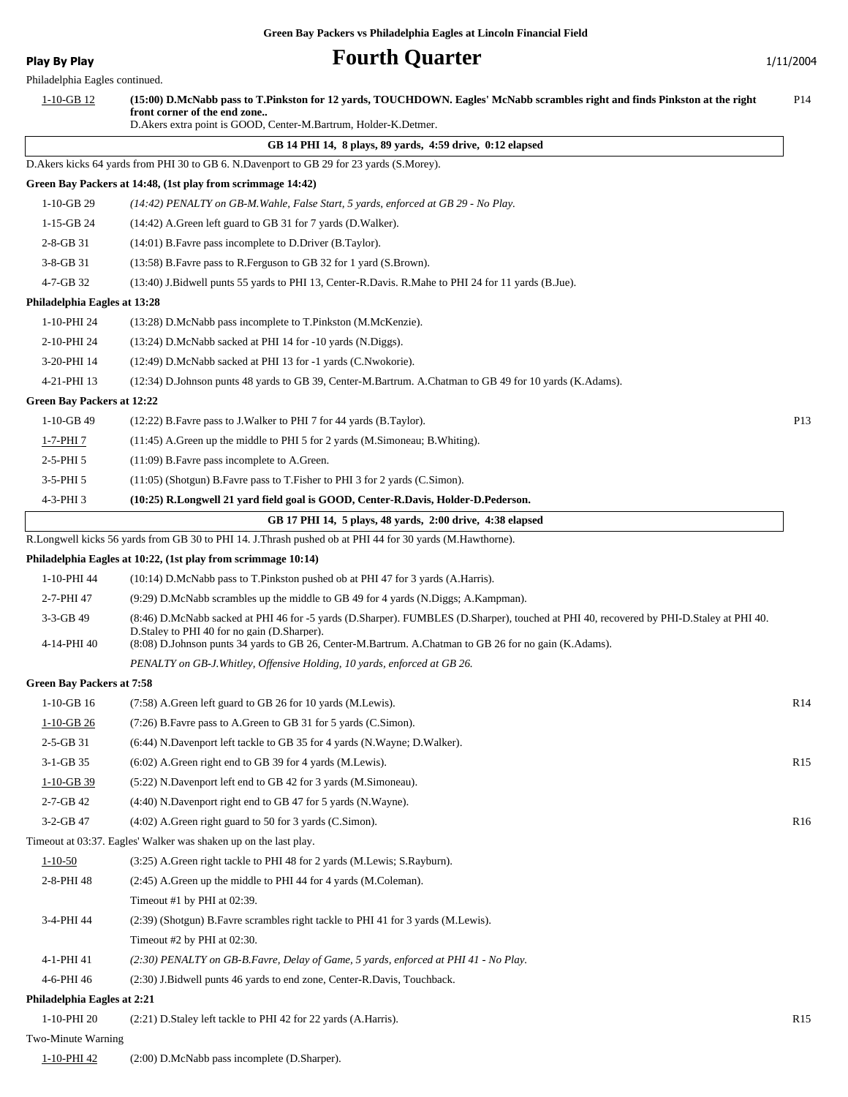**Play By Play Play Play Play Play Play Play Play Play Play Play Play Play Play Play Play Play Play Play Play Play Play Play Play Play Play Play Play Play Play Pla** 

| Philadelphia Eagles continued.   |                                                                                                                                                                                                                                                                                                   |                 |
|----------------------------------|---------------------------------------------------------------------------------------------------------------------------------------------------------------------------------------------------------------------------------------------------------------------------------------------------|-----------------|
| $1-10-GB$ 12                     | (15:00) D.McNabb pass to T.Pinkston for 12 yards, TOUCHDOWN. Eagles' McNabb scrambles right and finds Pinkston at the right<br>front corner of the end zone<br>D.Akers extra point is GOOD, Center-M.Bartrum, Holder-K.Detmer.                                                                    | P <sub>14</sub> |
|                                  | GB 14 PHI 14, 8 plays, 89 yards, 4:59 drive, 0:12 elapsed                                                                                                                                                                                                                                         |                 |
|                                  | D. Akers kicks 64 yards from PHI 30 to GB 6. N. Davenport to GB 29 for 23 yards (S. Morey).                                                                                                                                                                                                       |                 |
|                                  | Green Bay Packers at 14:48, (1st play from scrimmage 14:42)                                                                                                                                                                                                                                       |                 |
| $1-10-GB$ 29                     | (14:42) PENALTY on GB-M. Wahle, False Start, 5 yards, enforced at GB 29 - No Play.                                                                                                                                                                                                                |                 |
| 1-15-GB 24                       | (14:42) A.Green left guard to GB 31 for 7 yards (D.Walker).                                                                                                                                                                                                                                       |                 |
| $2 - 8 - GB$ 31                  | (14:01) B. Favre pass incomplete to D. Driver (B. Taylor).                                                                                                                                                                                                                                        |                 |
| $3-8-GB31$                       | (13:58) B. Favre pass to R. Ferguson to GB 32 for 1 yard (S. Brown).                                                                                                                                                                                                                              |                 |
| 4-7-GB 32                        | (13:40) J.Bidwell punts 55 yards to PHI 13, Center-R.Davis. R.Mahe to PHI 24 for 11 yards (B.Jue).                                                                                                                                                                                                |                 |
| Philadelphia Eagles at 13:28     |                                                                                                                                                                                                                                                                                                   |                 |
| 1-10-PHI 24                      | (13:28) D.McNabb pass incomplete to T.Pinkston (M.McKenzie).                                                                                                                                                                                                                                      |                 |
| 2-10-PHI 24                      | (13:24) D.McNabb sacked at PHI 14 for -10 yards (N.Diggs).                                                                                                                                                                                                                                        |                 |
| 3-20-PHI 14                      | (12:49) D.McNabb sacked at PHI 13 for -1 yards (C.Nwokorie).                                                                                                                                                                                                                                      |                 |
| 4-21-PHI 13                      | (12:34) D.Johnson punts 48 yards to GB 39, Center-M.Bartrum. A.Chatman to GB 49 for 10 yards (K.Adams).                                                                                                                                                                                           |                 |
| Green Bay Packers at 12:22       |                                                                                                                                                                                                                                                                                                   |                 |
| $1-10-GB$ 49                     | (12:22) B. Favre pass to J. Walker to PHI 7 for 44 yards (B. Taylor).                                                                                                                                                                                                                             | P13             |
| <u>1-7-PHI 7</u>                 | $(11:45)$ A. Green up the middle to PHI 5 for 2 yards (M. Simoneau; B. Whiting).                                                                                                                                                                                                                  |                 |
| $2-5-PHI5$                       | (11:09) B. Favre pass incomplete to A. Green.                                                                                                                                                                                                                                                     |                 |
| $3-5-PHI5$                       | (11:05) (Shotgun) B. Favre pass to T. Fisher to PHI 3 for 2 yards (C. Simon).                                                                                                                                                                                                                     |                 |
| 4-3-PHI 3                        | (10:25) R.Longwell 21 yard field goal is GOOD, Center-R.Davis, Holder-D.Pederson.                                                                                                                                                                                                                 |                 |
|                                  | GB 17 PHI 14, 5 plays, 48 yards, 2:00 drive, 4:38 elapsed                                                                                                                                                                                                                                         |                 |
|                                  | R.Longwell kicks 56 yards from GB 30 to PHI 14. J.Thrash pushed ob at PHI 44 for 30 yards (M.Hawthorne).                                                                                                                                                                                          |                 |
|                                  | Philadelphia Eagles at 10:22, (1st play from scrimmage 10:14)                                                                                                                                                                                                                                     |                 |
| 1-10-PHI 44                      | (10:14) D.McNabb pass to T.Pinkston pushed ob at PHI 47 for 3 yards (A.Harris).                                                                                                                                                                                                                   |                 |
| 2-7-PHI 47                       | (9:29) D.McNabb scrambles up the middle to GB 49 for 4 yards (N.Diggs; A.Kampman).                                                                                                                                                                                                                |                 |
| $3-3-GB$ 49<br>4-14-PHI 40       | (8:46) D.McNabb sacked at PHI 46 for -5 yards (D.Sharper). FUMBLES (D.Sharper), touched at PHI 40, recovered by PHI-D.Staley at PHI 40.<br>D. Staley to PHI 40 for no gain (D. Sharper).<br>(8:08) D.Johnson punts 34 yards to GB 26, Center-M.Bartrum. A.Chatman to GB 26 for no gain (K.Adams). |                 |
|                                  | PENALTY on GB-J. Whitley, Offensive Holding, 10 yards, enforced at GB 26.                                                                                                                                                                                                                         |                 |
| <b>Green Bay Packers at 7:58</b> |                                                                                                                                                                                                                                                                                                   |                 |
| $1-10-GB$ 16                     | (7:58) A.Green left guard to GB 26 for 10 yards (M.Lewis).                                                                                                                                                                                                                                        | R14             |
| $1 - 10 - GB$ 26                 | (7:26) B. Favre pass to A. Green to GB 31 for 5 yards (C. Simon).                                                                                                                                                                                                                                 |                 |
| $2-5-GB31$                       | (6:44) N.Davenport left tackle to GB 35 for 4 yards (N.Wayne; D.Walker).                                                                                                                                                                                                                          |                 |
| 3-1-GB 35                        | (6:02) A.Green right end to GB 39 for 4 yards (M.Lewis).                                                                                                                                                                                                                                          | R <sub>15</sub> |
| $1 - 10 - GB$ 39                 | (5:22) N.Davenport left end to GB 42 for 3 yards (M.Simoneau).                                                                                                                                                                                                                                    |                 |
| $2 - 7 - GB$ 42                  | (4:40) N.Davenport right end to GB 47 for 5 yards (N.Wayne).                                                                                                                                                                                                                                      |                 |
| 3-2-GB 47                        | (4:02) A. Green right guard to 50 for 3 yards (C. Simon).                                                                                                                                                                                                                                         | R <sub>16</sub> |
|                                  | Timeout at 03:37. Eagles' Walker was shaken up on the last play.                                                                                                                                                                                                                                  |                 |
| $1 - 10 - 50$                    | (3:25) A. Green right tackle to PHI 48 for 2 yards (M. Lewis; S. Rayburn).                                                                                                                                                                                                                        |                 |
| 2-8-PHI 48                       | (2:45) A. Green up the middle to PHI 44 for 4 yards (M. Coleman).                                                                                                                                                                                                                                 |                 |
|                                  | Timeout #1 by PHI at 02:39.                                                                                                                                                                                                                                                                       |                 |
| 3-4-PHI 44                       | (2:39) (Shotgun) B. Favre scrambles right tackle to PHI 41 for 3 yards (M. Lewis).                                                                                                                                                                                                                |                 |
|                                  | Timeout #2 by PHI at 02:30.                                                                                                                                                                                                                                                                       |                 |
| 4-1-PHI 41                       | (2:30) PENALTY on GB-B.Favre, Delay of Game, 5 yards, enforced at PHI 41 - No Play.                                                                                                                                                                                                               |                 |
| 4-6-PHI 46                       | (2:30) J.Bidwell punts 46 yards to end zone, Center-R.Davis, Touchback.                                                                                                                                                                                                                           |                 |
| Philadelphia Eagles at 2:21      |                                                                                                                                                                                                                                                                                                   |                 |
| 1-10-PHI 20                      | (2:21) D.Staley left tackle to PHI 42 for 22 yards (A.Harris).                                                                                                                                                                                                                                    | R15             |
| Two-Minute Warning               |                                                                                                                                                                                                                                                                                                   |                 |
|                                  |                                                                                                                                                                                                                                                                                                   |                 |

1-10-PHI 42 (2:00) D.McNabb pass incomplete (D.Sharper).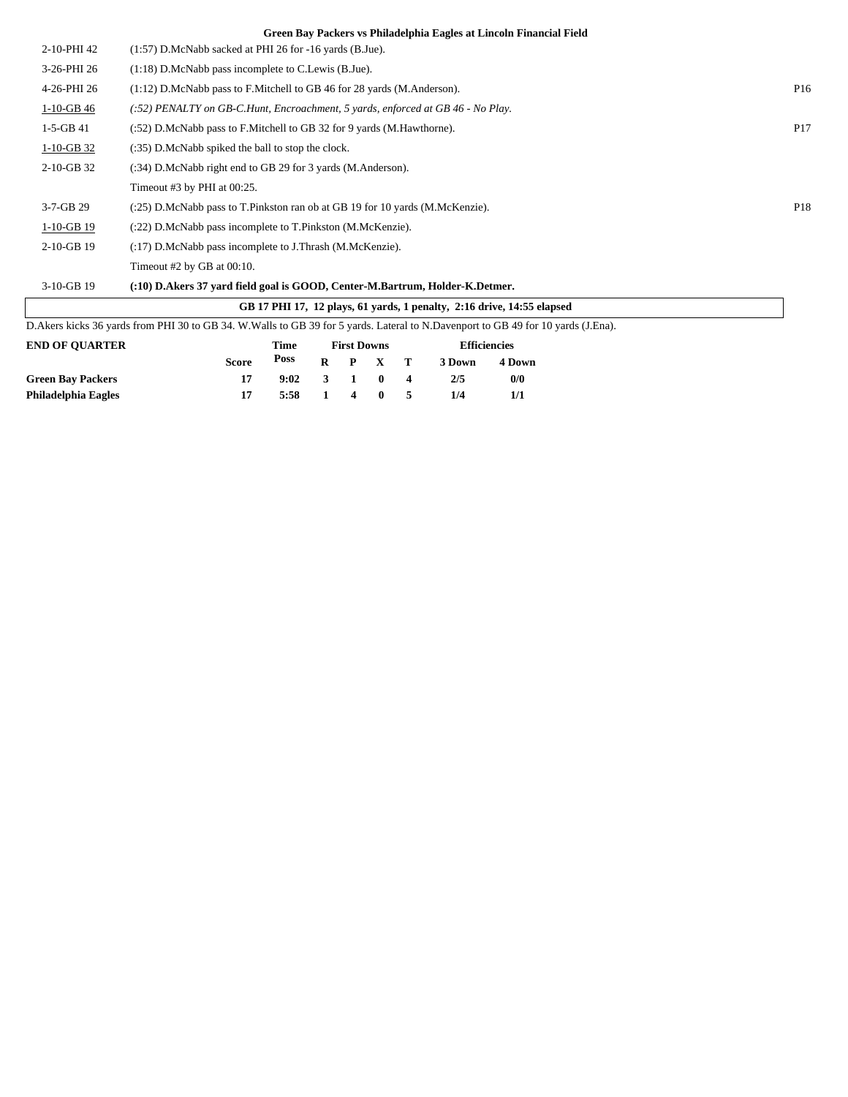| (:22) D.McNabb pass incomplete to T.Pinkston (M.McKenzie).<br>(:17) D.McNabb pass incomplete to J.Thrash (M.McKenzie).<br>Timeout $#2$ by GB at 00:10.<br>(:10) D.Akers 37 yard field goal is GOOD, Center-M.Bartrum, Holder-K.Detmer.<br>GB 17 PHI 17, 12 plays, 61 yards, 1 penalty, 2:16 drive, 14:55 elapsed<br>D. Akers kicks 36 yards from PHI 30 to GB 34. W. Walls to GB 39 for 5 yards. Lateral to N. Davenport to GB 49 for 10 yards (J. Ena). |                                                                                                                                                     |
|----------------------------------------------------------------------------------------------------------------------------------------------------------------------------------------------------------------------------------------------------------------------------------------------------------------------------------------------------------------------------------------------------------------------------------------------------------|-----------------------------------------------------------------------------------------------------------------------------------------------------|
|                                                                                                                                                                                                                                                                                                                                                                                                                                                          |                                                                                                                                                     |
|                                                                                                                                                                                                                                                                                                                                                                                                                                                          |                                                                                                                                                     |
|                                                                                                                                                                                                                                                                                                                                                                                                                                                          |                                                                                                                                                     |
|                                                                                                                                                                                                                                                                                                                                                                                                                                                          |                                                                                                                                                     |
|                                                                                                                                                                                                                                                                                                                                                                                                                                                          |                                                                                                                                                     |
|                                                                                                                                                                                                                                                                                                                                                                                                                                                          |                                                                                                                                                     |
|                                                                                                                                                                                                                                                                                                                                                                                                                                                          | P18                                                                                                                                                 |
| Timeout #3 by PHI at 00:25.                                                                                                                                                                                                                                                                                                                                                                                                                              |                                                                                                                                                     |
| (:34) D.McNabb right end to GB 29 for 3 yards (M.Anderson).                                                                                                                                                                                                                                                                                                                                                                                              |                                                                                                                                                     |
| (:35) D.McNabb spiked the ball to stop the clock.                                                                                                                                                                                                                                                                                                                                                                                                        |                                                                                                                                                     |
| $(2.52)$ D.McNabb pass to F.Mitchell to GB 32 for 9 yards (M.Hawthorne).                                                                                                                                                                                                                                                                                                                                                                                 | P <sub>17</sub>                                                                                                                                     |
| $(.52)$ PENALTY on GB-C.Hunt, Encroachment, 5 yards, enforced at GB 46 - No Play.                                                                                                                                                                                                                                                                                                                                                                        |                                                                                                                                                     |
| (1:12) D.McNabb pass to F.Mitchell to GB 46 for 28 yards (M.Anderson).                                                                                                                                                                                                                                                                                                                                                                                   | P <sub>16</sub>                                                                                                                                     |
| $(1:18)$ D.McNabb pass incomplete to C.Lewis (B.Jue).                                                                                                                                                                                                                                                                                                                                                                                                    |                                                                                                                                                     |
| $(1:57)$ D.McNabb sacked at PHI 26 for -16 yards (B.Jue).                                                                                                                                                                                                                                                                                                                                                                                                |                                                                                                                                                     |
|                                                                                                                                                                                                                                                                                                                                                                                                                                                          | orten bay I achers to I minuteping bagies at Emitom I mancha I iciu<br>(:25) D.McNabb pass to T.Pinkston ran ob at GB 19 for 10 yards (M.McKenzie). |

| <b>Score</b> |      |   |      |            | 3 Down                                                               | 4 Down     |
|--------------|------|---|------|------------|----------------------------------------------------------------------|------------|
|              |      |   |      |            | 2/5                                                                  | 0/0        |
|              | 5:58 |   |      |            | 1/4                                                                  |            |
|              |      | . | Poss | 1100 DOMIN | $R$ $P$ $X$ $T$<br>$9:02 \quad 3 \quad 1 \quad 0 \quad 4$<br>1 4 0 5 | Linuvirius |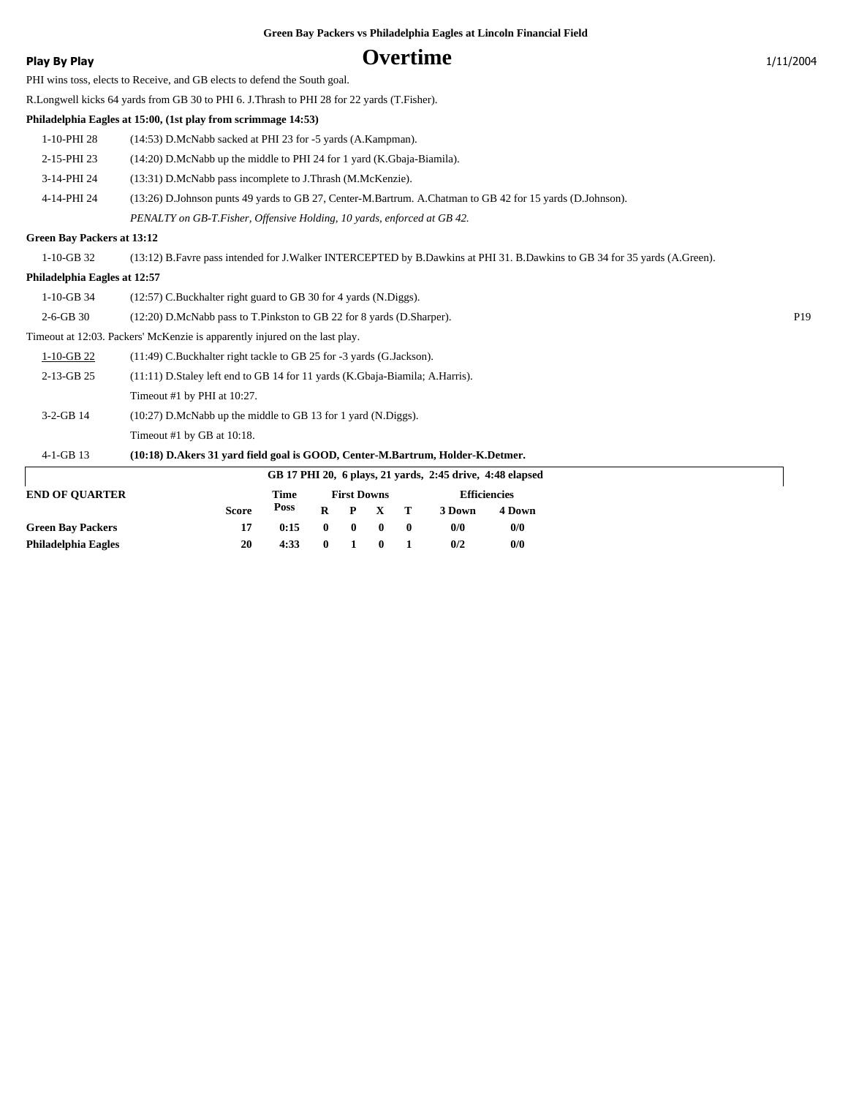|  | Green Bay Packers vs Philadelphia Eagles at Lincoln Financial Field |  |  |  |  |  |
|--|---------------------------------------------------------------------|--|--|--|--|--|
|  |                                                                     |  |  |  |  |  |
|  |                                                                     |  |  |  |  |  |

### Play By Play **COVERTIME** 21/11/2004

PHI wins toss, elects to Receive, and GB elects to defend the South goal.

R.Longwell kicks 64 yards from GB 30 to PHI 6. J.Thrash to PHI 28 for 22 yards (T.Fisher).

**Philadelphia Eagles at 15:00, (1st play from scrimmage 14:53)**

- 1-10-PHI 28 (14:53) D.McNabb sacked at PHI 23 for -5 yards (A.Kampman).
- 2-15-PHI 23 (14:20) D.McNabb up the middle to PHI 24 for 1 yard (K.Gbaja-Biamila).
- 3-14-PHI 24 (13:31) D.McNabb pass incomplete to J.Thrash (M.McKenzie).
- 4-14-PHI 24 (13:26) D.Johnson punts 49 yards to GB 27, Center-M.Bartrum. A.Chatman to GB 42 for 15 yards (D.Johnson).

*PENALTY on GB-T.Fisher, Offensive Holding, 10 yards, enforced at GB 42.*

#### **Green Bay Packers at 13:12**

1-10-GB 32 (13:12) B.Favre pass intended for J.Walker INTERCEPTED by B.Dawkins at PHI 31. B.Dawkins to GB 34 for 35 yards (A.Green).

#### **Philadelphia Eagles at 12:57**

| (12:57) C.Buckhalter right guard to GB 30 for 4 yards (N.Diggs).<br>1-10-GB 34 |
|--------------------------------------------------------------------------------|
|--------------------------------------------------------------------------------|

2-6-GB 30 (12:20) D.McNabb pass to T.Pinkston to GB 22 for 8 yards (D.Sharper). P19

#### Timeout at 12:03. Packers' McKenzie is apparently injured on the last play.

| 1-10-GB 22   | (11:49) C.Buckhalter right tackle to GB 25 for -3 yards (G.Jackson).              |
|--------------|-----------------------------------------------------------------------------------|
| $2-13-GB$ 25 | $(11:11)$ D. Staley left end to GB 14 for 11 yards (K. Gbaja-Biamila; A. Harris). |
|              | Timeout #1 by PHI at $10:27$ .                                                    |
| $3-2-GB$ 14  | (10:27) D.McNabb up the middle to GB 13 for 1 yard (N.Diggs).                     |
|              | Timeout #1 by GB at $10:18$ .                                                     |

### 4-1-GB 13 **(10:18) D.Akers 31 yard field goal is GOOD, Center-M.Bartrum, Holder-K.Detmer.**

| GB 17 PHI 20, 6 plays, 21 yards, 2:45 drive, 4:48 elapsed |              |      |                    |         |       |          |                     |        |  |
|-----------------------------------------------------------|--------------|------|--------------------|---------|-------|----------|---------------------|--------|--|
| <b>END OF OUARTER</b>                                     |              | Time | <b>First Downs</b> |         |       |          | <b>Efficiencies</b> |        |  |
|                                                           | <b>Score</b> | Poss |                    | $R$ $P$ | $X$ T |          | 3 Down              | 4 Down |  |
| <b>Green Bay Packers</b>                                  |              | 0:15 | $\mathbf{0}$       |         |       | $\bf{0}$ | 0/0                 | 0/0    |  |
| Philadelphia Eagles                                       | 20           | 4:33 |                    |         |       |          | 0/2                 | 0/0    |  |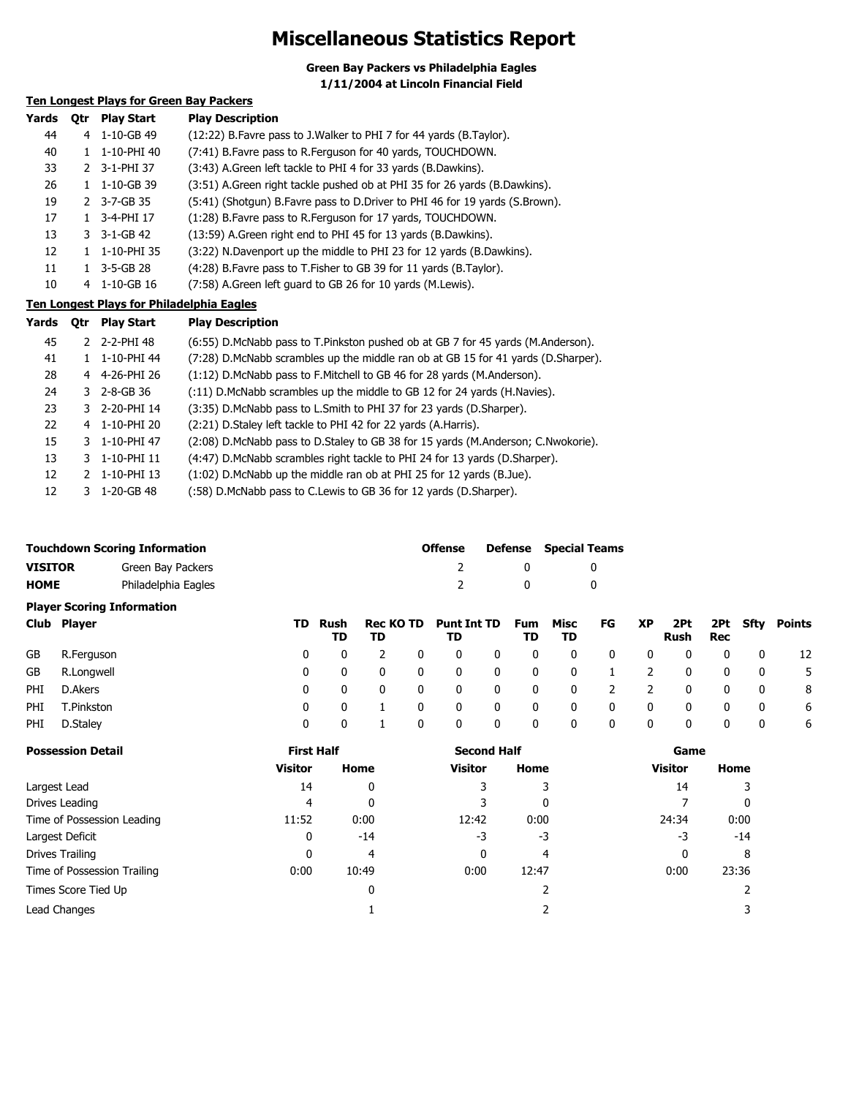### **Miscellaneous Statistics Report**

**Green Bay Packers vs Philadelphia Eagles 1/11/2004 at Lincoln Financial Field**

### **Ten Longest Plays for Green Bay Packers**

| Yards | 0tr | <b>Play Start</b>     | <b>Play Description</b>                                                        |
|-------|-----|-----------------------|--------------------------------------------------------------------------------|
| 44    | 4   | 1-10-GB 49            | (12:22) B. Favre pass to J. Walker to PHI 7 for 44 yards (B. Taylor).          |
| 40    | 1.  | 1-10-PHI 40           | (7:41) B. Favre pass to R. Ferguson for 40 yards, TOUCHDOWN.                   |
| 33    |     | 2 3-1-PHI 37          | (3:43) A.Green left tackle to PHI 4 for 33 yards (B.Dawkins).                  |
| 26    | 1.  | 1-10-GB 39            | (3:51) A.Green right tackle pushed ob at PHI 35 for 26 yards (B.Dawkins).      |
| 19    |     | 2 3-7-GB 35           | (5:41) (Shotgun) B. Favre pass to D. Driver to PHI 46 for 19 yards (S. Brown). |
| 17    |     | 3-4-PHI 17            | (1:28) B. Favre pass to R. Ferguson for 17 yards, TOUCHDOWN.                   |
| 13    |     | $3 - 3 - 1 - GB - 42$ | (13:59) A.Green right end to PHI 45 for 13 yards (B.Dawkins).                  |
| 12    |     | 1-10-PHI 35           | (3:22) N.Davenport up the middle to PHI 23 for 12 yards (B.Dawkins).           |
| 11    |     | 3-5-GB 28             | (4:28) B. Favre pass to T. Fisher to GB 39 for 11 yards (B. Taylor).           |
| 10    | 4   | $1 - 10 - GB$ 16      | (7:58) A.Green left quard to GB 26 for 10 yards (M.Lewis).                     |
|       |     |                       |                                                                                |

#### **Ten Longest Plays for Philadelphia Eagles**

| Yards | <b>Otr</b> | <b>Play Start</b>          | <b>Play Description</b>                                                           |
|-------|------------|----------------------------|-----------------------------------------------------------------------------------|
| 45    |            | 2 2-2-PHI 48               | (6:55) D.McNabb pass to T.Pinkston pushed ob at GB 7 for 45 yards (M.Anderson).   |
| 41    |            | 1 1-10-PHI 44              | (7:28) D.McNabb scrambles up the middle ran ob at GB 15 for 41 yards (D.Sharper). |
| 28    |            | 4 4-26-PHI 26              | $(1:12)$ D.McNabb pass to F.Mitchell to GB 46 for 28 yards (M.Anderson).          |
| 24    |            | $3\quad 2 - 8 - GB \; 36$  | (:11) D.McNabb scrambles up the middle to GB 12 for 24 yards (H.Navies).          |
| 23    |            | 3 2-20-PHI 14              | (3:35) D.McNabb pass to L.Smith to PHI 37 for 23 yards (D.Sharper).               |
| 22    |            | 4 1-10-PHI 20              | (2:21) D. Staley left tackle to PHI 42 for 22 yards (A. Harris).                  |
| 15    |            | 3 1-10-PHI 47              | (2:08) D.McNabb pass to D.Staley to GB 38 for 15 yards (M.Anderson; C.Nwokorie).  |
| 13    |            | 3 1-10-PHI 11              | (4:47) D.McNabb scrambles right tackle to PHI 24 for 13 yards (D.Sharper).        |
| 12    |            | 2 1-10-PHI 13              | (1:02) D.McNabb up the middle ran ob at PHI 25 for 12 yards (B.Jue).              |
| 12    |            | $3 \quad 1 - 20 - GB - 48$ | (:58) D.McNabb pass to C.Lewis to GB 36 for 12 yards (D.Sharper).                 |

|                | <b>Touchdown Scoring Information</b> | Offense | <b>Defense</b> Special Teams |
|----------------|--------------------------------------|---------|------------------------------|
| <b>VISITOR</b> | Green Bay Packers                    |         |                              |
| <b>HOME</b>    | Philadelphia Eagles                  |         |                              |

### **Player Scoring Information**

|      | Club Player |              | TD Rush<br>TD | TD             |   | Rec KO TD Punt Int TD<br>TD |   | TD          | Fum Misc<br>TD           | FG             | <b>XP</b>      | Rush         | Rec |                         | 2Pt 2Pt Sfty Points |
|------|-------------|--------------|---------------|----------------|---|-----------------------------|---|-------------|--------------------------|----------------|----------------|--------------|-----|-------------------------|---------------------|
| GB   | R.Ferguson  | 0            | $\mathbf{0}$  | $\overline{2}$ | 0 | $\mathbf{0}$                | 0 | $\mathbf 0$ | 0                        | 0              | 0              | $\mathbf{0}$ | 0   | 0                       | 12                  |
| GB   | R.Longwell  | $\mathbf{0}$ | $\mathbf{0}$  | $\overline{0}$ | 0 | $\mathbf 0$                 | 0 | 0           | $\overline{\phantom{0}}$ | $\overline{1}$ | $\overline{2}$ | $\mathbf{0}$ | 0   | $\overline{\mathbf{0}}$ | -5                  |
| PHI  | D.Akers     | $\Omega$     | $\mathbf{0}$  | $\overline{0}$ | 0 | $\mathbf 0$                 | 0 | - 0         | $\mathbf{0}$             | $\overline{2}$ | $\overline{2}$ | $\mathbf{0}$ | 0   | $\mathbf{0}$            | - 8                 |
| PHI  | T.Pinkston  | $\Omega$     | $\mathbf{0}$  |                | 0 | $\mathbf 0$                 | 0 | 0           | $\mathbf 0$              | 0              | $\mathbf 0$    | $\mathbf{0}$ | 0   | $\overline{\mathbf{0}}$ | -6                  |
| PHI. | D.Staley    | 0            |               |                | 0 | $\mathbf{0}$                | 0 | 0           | 0                        | 0              | 0              | 0            | 0   | - 0                     | 6                   |

| <b>Possession Detail</b>    | <b>First Half</b> |       | <b>Second Half</b> |       | Game    |       |  |
|-----------------------------|-------------------|-------|--------------------|-------|---------|-------|--|
|                             | Visitor           | Home  | <b>Visitor</b>     | Home  | Visitor | Home  |  |
| Largest Lead                | 14                | 0     |                    |       | 14      |       |  |
| Drives Leading              | 4                 | 0     |                    | 0     |         | 0     |  |
| Time of Possession Leading  | 11:52             | 0:00  | 12:42              | 0:00  | 24:34   | 0:00  |  |
| Largest Deficit             | 0                 | $-14$ | -3                 | -3    | -3      | $-14$ |  |
| Drives Trailing             |                   | 4     | 0                  | 4     | 0       | 8     |  |
| Time of Possession Trailing | 0:00              | 10:49 | 0:00               | 12:47 | 0:00    | 23:36 |  |
| Times Score Tied Up         |                   | 0     |                    |       |         |       |  |
| Lead Changes                |                   |       |                    |       |         |       |  |